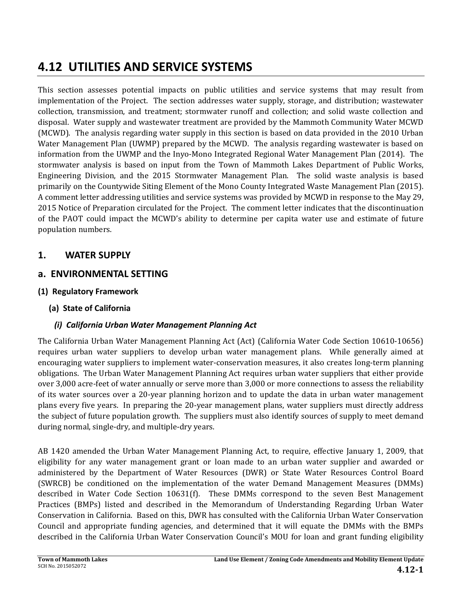# **4.12 UTILITIES AND SERVICE SYSTEMS**

This section assesses potential impacts on public utilities and service systems that may result from implementation of the Project. The section addresses water supply, storage, and distribution; wastewater collection, transmission, and treatment; stormwater runoff and collection; and solid waste collection and disposal. Water supply and wastewater treatment are provided by the Mammoth Community Water MCWD (MCWD). The analysis regarding water supply in this section is based on data provided in the 2010 Urban Water Management Plan (UWMP) prepared by the MCWD. The analysis regarding wastewater is based on information from the UWMP and the Inyo-Mono Integrated Regional Water Management Plan (2014). The stormwater analysis is based on input from the Town of Mammoth Lakes Department of Public Works, Engineering Division, and the 2015 Stormwater Management Plan. The solid waste analysis is based primarily on the Countywide Siting Element of the Mono County Integrated Waste Management Plan (2015). A comment letter addressing utilities and service systems was provided by MCWD in response to the May 29, 2015 Notice of Preparation circulated for the Project. The comment letter indicates that the discontinuation of the PAOT could impact the MCWD's ability to determine per capita water use and estimate of future population numbers.

## **1. WATER SUPPLY**

## **a. ENVIRONMENTAL SETTING**

**(1) Regulatory Framework**

### **(a) State of California**

### *(i) California Urban Water Management Planning Act*

The California Urban Water Management Planning Act (Act) (California Water Code Section 10610-10656) requires urban water suppliers to develop urban water management plans. While generally aimed at encouraging water suppliers to implement water-conservation measures, it also creates long-term planning obligations. The Urban Water Management Planning Act requires urban water suppliers that either provide over 3,000 acre-feet of water annually or serve more than 3,000 or more connections to assess the reliability of its water sources over a 20-year planning horizon and to update the data in urban water management plans every five years. In preparing the 20-year management plans, water suppliers must directly address the subject of future population growth. The suppliers must also identify sources of supply to meet demand during normal, single-dry, and multiple-dry years.

AB 1420 amended the Urban Water Management Planning Act, to require, effective January 1, 2009, that eligibility for any water management grant or loan made to an urban water supplier and awarded or administered by the Department of Water Resources (DWR) or State Water Resources Control Board (SWRCB) be conditioned on the implementation of the water Demand Management Measures (DMMs) described in Water Code Section 10631(f). These DMMs correspond to the seven Best Management Practices (BMPs) listed and described in the Memorandum of Understanding Regarding Urban Water Conservation in California. Based on this, DWR has consulted with the California Urban Water Conservation Council and appropriate funding agencies, and determined that it will equate the DMMs with the BMPs described in the California Urban Water Conservation Council's MOU for loan and grant funding eligibility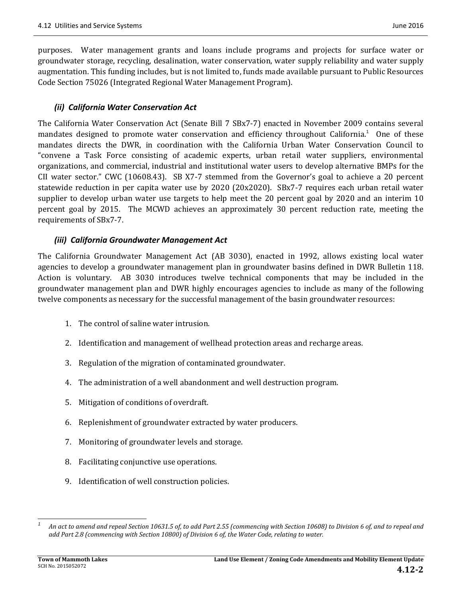purposes. Water management grants and loans include programs and projects for surface water or groundwater storage, recycling, desalination, water conservation, water supply reliability and water supply augmentation. This funding includes, but is not limited to, funds made available pursuant to Public Resources Code Section 75026 (Integrated Regional Water Management Program).

#### *(ii) California Water Conservation Act*

The California Water Conservation Act (Senate Bill 7 SBx7-7) enacted in November 2009 contains several mandates designed to promote water conservation and efficiency throughout California.<sup>1</sup> One of these mandates directs the DWR, in coordination with the California Urban Water Conservation Council to "convene a Task Force consisting of academic experts, urban retail water suppliers, environmental organizations, and commercial, industrial and institutional water users to develop alternative BMPs for the CII water sector." CWC (10608.43). SB X7-7 stemmed from the Governor's goal to achieve a 20 percent statewide reduction in per capita water use by  $2020$  ( $20x2020$ ). SBx7-7 requires each urban retail water supplier to develop urban water use targets to help meet the  $20$  percent goal by  $2020$  and an interim  $10$ percent goal by 2015. The MCWD achieves an approximately 30 percent reduction rate, meeting the requirements of SBx7-7.

#### *(iii) California Groundwater Management Act*

The California Groundwater Management Act (AB 3030), enacted in 1992, allows existing local water agencies to develop a groundwater management plan in groundwater basins defined in DWR Bulletin 118. Action is voluntary. AB 3030 introduces twelve technical components that may be included in the groundwater management plan and DWR highly encourages agencies to include as many of the following twelve components as necessary for the successful management of the basin groundwater resources:

- 1. The control of saline water intrusion.
- 2. Identification and management of wellhead protection areas and recharge areas.
- 3. Regulation of the migration of contaminated groundwater.
- 4. The administration of a well abandonment and well destruction program.
- 5. Mitigation of conditions of overdraft.
- 6. Replenishment of groundwater extracted by water producers.
- 7. Monitoring of groundwater levels and storage.
- 8. Facilitating conjunctive use operations.
- 9. Identification of well construction policies.

 *1* An act to amend and repeal Section 10631.5 of, to add Part 2.55 (commencing with Section 10608) to Division 6 of, and to repeal and *add Part 2.8 (commencing with Section 10800) of Division 6 of, the Water Code, relating to water.*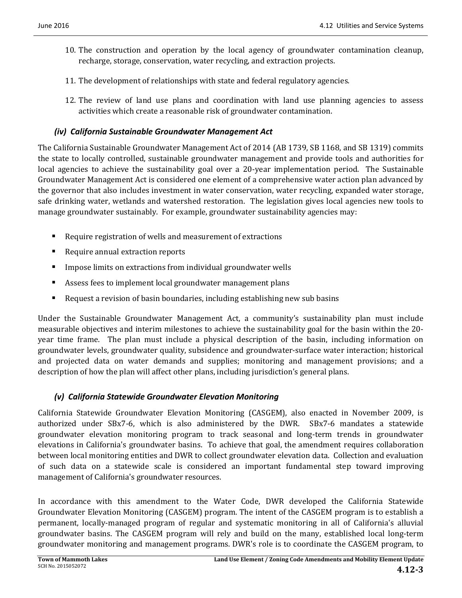- 10. The construction and operation by the local agency of groundwater contamination cleanup, recharge, storage, conservation, water recycling, and extraction projects.
- 11. The development of relationships with state and federal regulatory agencies.
- 12. The review of land use plans and coordination with land use planning agencies to assess activities which create a reasonable risk of groundwater contamination.

#### *(iv) California Sustainable Groundwater Management Act*

The California Sustainable Groundwater Management Act of 2014 (AB 1739, SB 1168, and SB 1319) commits the state to locally controlled, sustainable groundwater management and provide tools and authorities for local agencies to achieve the sustainability goal over a 20-year implementation period. The Sustainable Groundwater Management Act is considered one element of a comprehensive water action plan advanced by the governor that also includes investment in water conservation, water recycling, expanded water storage, safe drinking water, wetlands and watershed restoration. The legislation gives local agencies new tools to manage groundwater sustainably. For example, groundwater sustainability agencies may:

- $\blacksquare$  Require registration of wells and measurement of extractions
- Require annual extraction reports
- $\blacksquare$  Impose limits on extractions from individual groundwater wells
- Assess fees to implement local groundwater management plans
- Request a revision of basin boundaries, including establishing new sub basins

Under the Sustainable Groundwater Management Act, a community's sustainability plan must include measurable objectives and interim milestones to achieve the sustainability goal for the basin within the 20year time frame. The plan must include a physical description of the basin, including information on groundwater levels, groundwater quality, subsidence and groundwater-surface water interaction; historical and projected data on water demands and supplies; monitoring and management provisions; and a description of how the plan will affect other plans, including jurisdiction's general plans.

#### *(v) California Statewide Groundwater Elevation Monitoring*

California Statewide Groundwater Elevation Monitoring (CASGEM), also enacted in November 2009, is authorized under SBx7-6, which is also administered by the DWR. SBx7-6 mandates a statewide groundwater elevation monitoring program to track seasonal and long-term trends in groundwater elevations in California's groundwater basins. To achieve that goal, the amendment requires collaboration between local monitoring entities and DWR to collect groundwater elevation data. Collection and evaluation of such data on a statewide scale is considered an important fundamental step toward improving management of California's groundwater resources.

In accordance with this amendment to the Water Code, DWR developed the California Statewide Groundwater Elevation Monitoring (CASGEM) program. The intent of the CASGEM program is to establish a permanent, locally-managed program of regular and systematic monitoring in all of California's alluvial groundwater basins. The CASGEM program will rely and build on the many, established local long-term groundwater monitoring and management programs. DWR's role is to coordinate the CASGEM program, to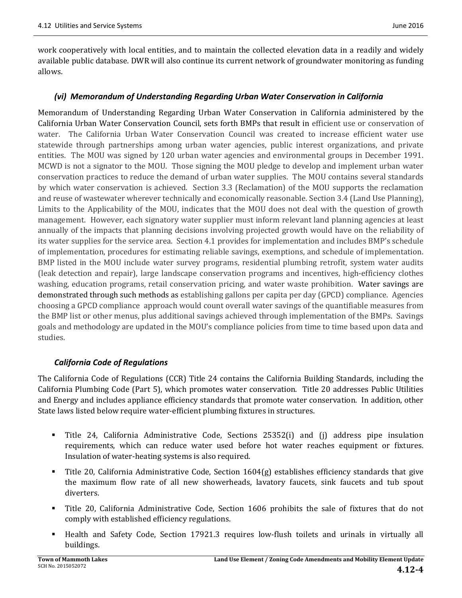work cooperatively with local entities, and to maintain the collected elevation data in a readily and widely available public database. DWR will also continue its current network of groundwater monitoring as funding allows. 

#### *(vi) Memorandum of Understanding Regarding Urban Water Conservation in California*

Memorandum of Understanding Regarding Urban Water Conservation in California administered by the California Urban Water Conservation Council, sets forth BMPs that result in efficient use or conservation of water. The California Urban Water Conservation Council was created to increase efficient water use statewide through partnerships among urban water agencies, public interest organizations, and private entities. The MOU was signed by 120 urban water agencies and environmental groups in December 1991. MCWD is not a signator to the MOU. Those signing the MOU pledge to develop and implement urban water conservation practices to reduce the demand of urban water supplies. The MOU contains several standards by which water conservation is achieved. Section 3.3 (Reclamation) of the MOU supports the reclamation and reuse of wastewater wherever technically and economically reasonable. Section 3.4 (Land Use Planning), Limits to the Applicability of the MOU, indicates that the MOU does not deal with the question of growth management. However, each signatory water supplier must inform relevant land planning agencies at least annually of the impacts that planning decisions involving projected growth would have on the reliability of its water supplies for the service area. Section 4.1 provides for implementation and includes BMP's schedule of implementation, procedures for estimating reliable savings, exemptions, and schedule of implementation. BMP listed in the MOU include water survey programs, residential plumbing retrofit, system water audits (leak detection and repair), large landscape conservation programs and incentives, high‐efficiency clothes washing, education programs, retail conservation pricing, and water waste prohibition. Water savings are demonstrated through such methods as establishing gallons per capita per day (GPCD) compliance. Agencies choosing a GPCD compliance approach would count overall water savings of the quantifiable measures from the BMP list or other menus, plus additional savings achieved through implementation of the BMPs. Savings goals and methodology are updated in the MOU's compliance policies from time to time based upon data and studies.

#### *California Code of Regulations*

The California Code of Regulations (CCR) Title 24 contains the California Building Standards, including the California Plumbing Code (Part 5), which promotes water conservation. Title 20 addresses Public Utilities and Energy and includes appliance efficiency standards that promote water conservation. In addition, other State laws listed below require water-efficient plumbing fixtures in structures.

- Title 24, California Administrative Code, Sections 25352(i) and (j) address pipe insulation requirements, which can reduce water used before hot water reaches equipment or fixtures. Insulation of water-heating systems is also required.
- Title 20, California Administrative Code, Section  $1604(g)$  establishes efficiency standards that give the maximum flow rate of all new showerheads, lavatory faucets, sink faucets and tub spout diverters.
- Title 20, California Administrative Code, Section 1606 prohibits the sale of fixtures that do not comply with established efficiency regulations.
- Health and Safety Code, Section 17921.3 requires low-flush toilets and urinals in virtually all buildings.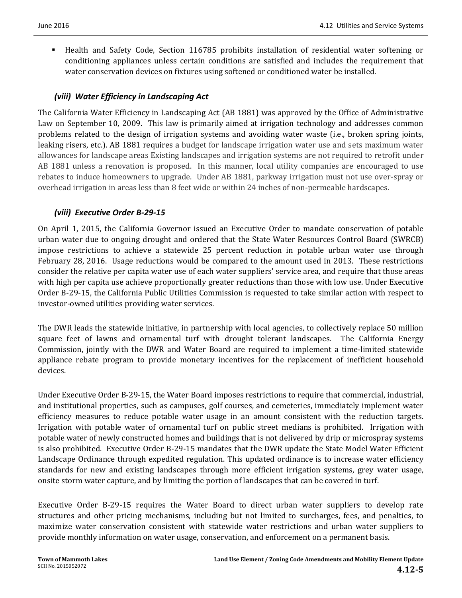**Health** and Safety Code, Section 116785 prohibits installation of residential water softening or conditioning appliances unless certain conditions are satisfied and includes the requirement that water conservation devices on fixtures using softened or conditioned water be installed.

### *(viii) Water Efficiency in Landscaping Act*

The California Water Efficiency in Landscaping Act (AB 1881) was approved by the Office of Administrative Law on September 10, 2009. This law is primarily aimed at irrigation technology and addresses common problems related to the design of irrigation systems and avoiding water waste (i.e., broken spring joints, leaking risers, etc.). AB 1881 requires a budget for landscape irrigation water use and sets maximum water allowances for landscape areas Existing landscapes and irrigation systems are not required to retrofit under AB 1881 unless a renovation is proposed. In this manner, local utility companies are encouraged to use rebates to induce homeowners to upgrade. Under AB 1881, parkway irrigation must not use over-spray or overhead irrigation in areas less than 8 feet wide or within 24 inches of non-permeable hardscapes.

### *(viii) Executive Order B‐29‐15*

On April 1, 2015, the California Governor issued an Executive Order to mandate conservation of potable urban water due to ongoing drought and ordered that the State Water Resources Control Board (SWRCB) impose restrictions to achieve a statewide 25 percent reduction in potable urban water use through February 28, 2016. Usage reductions would be compared to the amount used in 2013. These restrictions consider the relative per capita water use of each water suppliers' service area, and require that those areas with high per capita use achieve proportionally greater reductions than those with low use. Under Executive Order B-29-15, the California Public Utilities Commission is requested to take similar action with respect to investor-owned utilities providing water services.

The DWR leads the statewide initiative, in partnership with local agencies, to collectively replace 50 million square feet of lawns and ornamental turf with drought tolerant landscapes. The California Energy Commission, jointly with the DWR and Water Board are required to implement a time-limited statewide appliance rebate program to provide monetary incentives for the replacement of inefficient household devices. 

Under Executive Order B-29-15, the Water Board imposes restrictions to require that commercial, industrial, and institutional properties, such as campuses, golf courses, and cemeteries, immediately implement water efficiency measures to reduce potable water usage in an amount consistent with the reduction targets. Irrigation with potable water of ornamental turf on public street medians is prohibited. Irrigation with potable water of newly constructed homes and buildings that is not delivered by drip or microspray systems is also prohibited. Executive Order B-29-15 mandates that the DWR update the State Model Water Efficient Landscape Ordinance through expedited regulation. This updated ordinance is to increase water efficiency standards for new and existing landscapes through more efficient irrigation systems, grey water usage, onsite storm water capture, and by limiting the portion of landscapes that can be covered in turf.

Executive Order B-29-15 requires the Water Board to direct urban water suppliers to develop rate structures and other pricing mechanisms, including but not limited to surcharges, fees, and penalties, to maximize water conservation consistent with statewide water restrictions and urban water suppliers to provide monthly information on water usage, conservation, and enforcement on a permanent basis.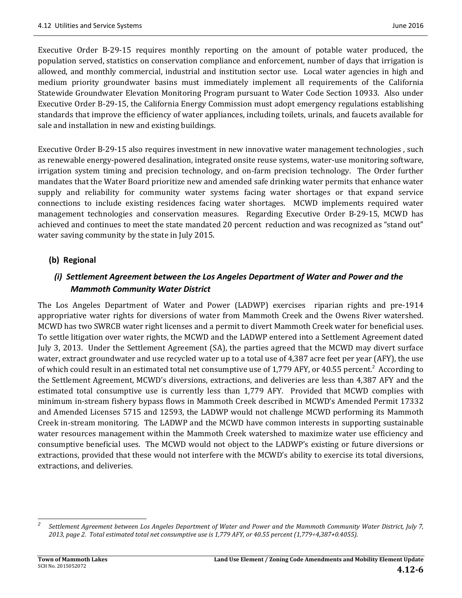Executive Order B-29-15 requires monthly reporting on the amount of potable water produced, the population served, statistics on conservation compliance and enforcement, number of days that irrigation is allowed, and monthly commercial, industrial and institution sector use. Local water agencies in high and medium priority groundwater basins must immediately implement all requirements of the California Statewide Groundwater Elevation Monitoring Program pursuant to Water Code Section 10933. Also under Executive Order B-29-15, the California Energy Commission must adopt emergency regulations establishing standards that improve the efficiency of water appliances, including toilets, urinals, and faucets available for sale and installation in new and existing buildings.

Executive Order B-29-15 also requires investment in new innovative water management technologies, such as renewable energy-powered desalination, integrated onsite reuse systems, water-use monitoring software, irrigation system timing and precision technology, and on-farm precision technology. The Order further mandates that the Water Board prioritize new and amended safe drinking water permits that enhance water supply and reliability for community water systems facing water shortages or that expand service connections to include existing residences facing water shortages. MCWD implements required water management technologies and conservation measures. Regarding Executive Order B-29-15, MCWD has achieved and continues to meet the state mandated 20 percent reduction and was recognized as "stand out" water saving community by the state in July 2015.

#### **(b) Regional**

### *(i) Settlement Agreement between the Los Angeles Department of Water and Power and the Mammoth Community Water District*

The Los Angeles Department of Water and Power (LADWP) exercises riparian rights and pre-1914 appropriative water rights for diversions of water from Mammoth Creek and the Owens River watershed. MCWD has two SWRCB water right licenses and a permit to divert Mammoth Creek water for beneficial uses. To settle litigation over water rights, the MCWD and the LADWP entered into a Settlement Agreement dated July 3, 2013. Under the Settlement Agreement (SA), the parties agreed that the MCWD may divert surface water, extract groundwater and use recycled water up to a total use of 4,387 acre feet per year (AFY), the use of which could result in an estimated total net consumptive use of 1,779 AFY, or 40.55 percent.<sup>2</sup> According to the Settlement Agreement, MCWD's diversions, extractions, and deliveries are less than 4,387 AFY and the estimated total consumptive use is currently less than 1,779 AFY. Provided that MCWD complies with minimum in-stream fishery bypass flows in Mammoth Creek described in MCWD's Amended Permit 17332 and Amended Licenses 5715 and 12593, the LADWP would not challenge MCWD performing its Mammoth Creek in-stream monitoring. The LADWP and the MCWD have common interests in supporting sustainable water resources management within the Mammoth Creek watershed to maximize water use efficiency and consumptive beneficial uses. The MCWD would not object to the LADWP's existing or future diversions or extractions, provided that these would not interfere with the MCWD's ability to exercise its total diversions, extractions, and deliveries.

 

*<sup>2</sup>* Settlement Agreement between Los Angeles Department of Water and Power and the Mammoth Community Water District, July 7, 2013, page 2. Total estimated total net consumptive use is 1,779 AFY, or 40.55 percent (1,779÷4,387+0.4055).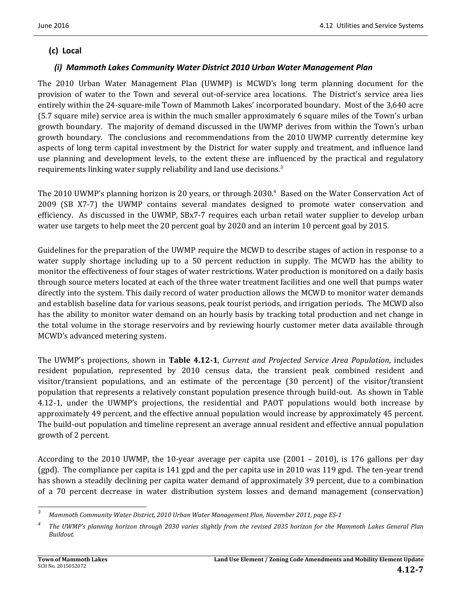### **(c) Local**

### *(i) Mammoth Lakes Community Water District 2010 Urban Water Management Plan*

The 2010 Urban Water Management Plan (UWMP) is MCWD's long term planning document for the provision of water to the Town and several out-of-service area locations. The District's service area lies entirely within the 24-square-mile Town of Mammoth Lakes' incorporated boundary. Most of the 3,640 acre (5.7 square mile) service area is within the much smaller approximately 6 square miles of the Town's urban growth boundary. The majority of demand discussed in the UWMP derives from within the Town's urban growth boundary. The conclusions and recommendations from the 2010 UWMP currently determine key aspects of long term capital investment by the District for water supply and treatment, and influence land use planning and development levels, to the extent these are influenced by the practical and regulatory requirements linking water supply reliability and land use decisions.<sup>3</sup>

The 2010 UWMP's planning horizon is 20 years, or through 2030.<sup>4</sup> Based on the Water Conservation Act of 2009 (SB X7-7) the UWMP contains several mandates designed to promote water conservation and efficiency. As discussed in the UWMP, SBx7-7 requires each urban retail water supplier to develop urban water use targets to help meet the 20 percent goal by 2020 and an interim 10 percent goal by 2015.

Guidelines for the preparation of the UWMP require the MCWD to describe stages of action in response to a water supply shortage including up to a 50 percent reduction in supply. The MCWD has the ability to monitor the effectiveness of four stages of water restrictions. Water production is monitored on a daily basis through source meters located at each of the three water treatment facilities and one well that pumps water directly into the system. This daily record of water production allows the MCWD to monitor water demands and establish baseline data for various seasons, peak tourist periods, and irrigation periods. The MCWD also has the ability to monitor water demand on an hourly basis by tracking total production and net change in the total volume in the storage reservoirs and by reviewing hourly customer meter data available through MCWD's advanced metering system.

The UWMP's projections, shown in **Table 4.12‐1**, *Current and Projected Service Area Population*, includes resident population, represented by 2010 census data, the transient peak combined resident and visitor/transient populations, and an estimate of the percentage  $(30$  percent) of the visitor/transient population that represents a relatively constant population presence through build-out. As shown in Table 4.12-1, under the UWMP's projections, the residential and PAOT populations would both increase by approximately 49 percent, and the effective annual population would increase by approximately 45 percent. The build-out population and timeline represent an average annual resident and effective annual population growth of 2 percent.

According to the 2010 UWMP, the 10-year average per capita use  $(2001 - 2010)$ , is 176 gallons per day (gpd). The compliance per capita is 141 gpd and the per capita use in 2010 was 119 gpd. The ten-year trend has shown a steadily declining per capita water demand of approximately 39 percent, due to a combination of a 70 percent decrease in water distribution system losses and demand management (conservation)

<sup>&</sup>lt;u> 1989 - Johann Stein, fransk politik (d. 1989)</u> *3 Mammoth Community Water District, 2010 Urban Water Management Plan, November 2011, page ES‐1*

*<sup>4</sup>* The UWMP's planning horizon through 2030 varies slightly from the revised 2035 horizon for the Mammoth Lakes General Plan *Buildout.*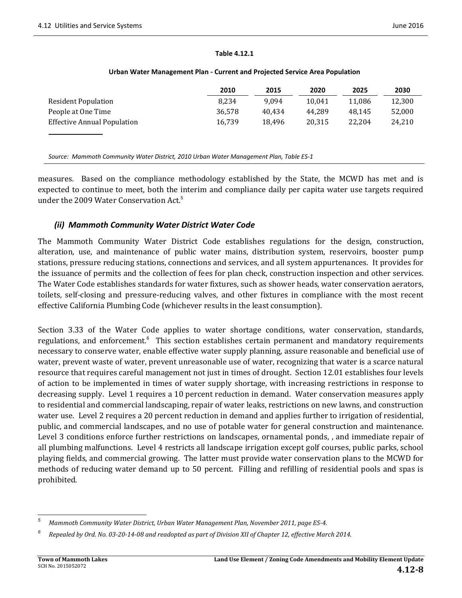#### **Table 4.12.1**

|                                    | 2010   | 2015   | 2020   | 2025   | 2030   |
|------------------------------------|--------|--------|--------|--------|--------|
| <b>Resident Population</b>         | 8.234  | 9.094  | 10.041 | 11,086 | 12,300 |
| People at One Time                 | 36,578 | 40.434 | 44.289 | 48.145 | 52,000 |
| <b>Effective Annual Population</b> | 16,739 | 18.496 | 20.315 | 22.204 | 24,210 |
|                                    |        |        |        |        |        |
|                                    |        |        |        |        |        |

#### **Urban Water Management Plan ‐ Current and Projected Service Area Population**

*Source: Mammoth Community Water District, 2010 Urban Water Management Plan, Table ES‐1*

measures. Based on the compliance methodology established by the State, the MCWD has met and is expected to continue to meet, both the interim and compliance daily per capita water use targets required under the 2009 Water Conservation Act.<sup>5</sup>

#### *(ii) Mammoth Community Water District Water Code*

The Mammoth Community Water District Code establishes regulations for the design, construction, alteration, use, and maintenance of public water mains, distribution system, reservoirs, booster pump stations, pressure reducing stations, connections and services, and all system appurtenances. It provides for the issuance of permits and the collection of fees for plan check, construction inspection and other services. The Water Code establishes standards for water fixtures, such as shower heads, water conservation aerators, toilets, self-closing and pressure-reducing valves, and other fixtures in compliance with the most recent effective California Plumbing Code (whichever results in the least consumption).

Section 3.33 of the Water Code applies to water shortage conditions, water conservation, standards, regulations, and enforcement.<sup>6</sup> This section establishes certain permanent and mandatory requirements necessary to conserve water, enable effective water supply planning, assure reasonable and beneficial use of water, prevent waste of water, prevent unreasonable use of water, recognizing that water is a scarce natural resource that requires careful management not just in times of drought. Section 12.01 establishes four levels of action to be implemented in times of water supply shortage, with increasing restrictions in response to decreasing supply. Level 1 requires a 10 percent reduction in demand. Water conservation measures apply to residential and commercial landscaping, repair of water leaks, restrictions on new lawns, and construction water use. Level 2 requires a 20 percent reduction in demand and applies further to irrigation of residential, public, and commercial landscapes, and no use of potable water for general construction and maintenance. Level 3 conditions enforce further restrictions on landscapes, ornamental ponds, , and immediate repair of all plumbing malfunctions. Level 4 restricts all landscape irrigation except golf courses, public parks, school playing fields, and commercial growing. The latter must provide water conservation plans to the MCWD for methods of reducing water demand up to 50 percent. Filling and refilling of residential pools and spas is prohibited. 

 *5 Mammoth Community Water District, Urban Water Management Plan, November 2011, page ES‐4.* 

*<sup>6</sup>* Repealed by Ord. No. 03-20-14-08 and readopted as part of Division XII of Chapter 12, effective March 2014.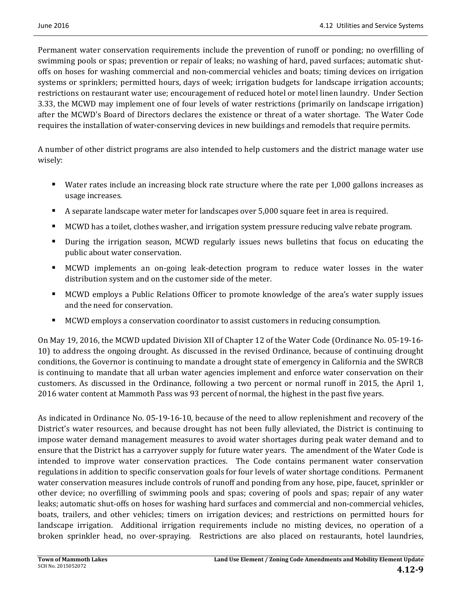Permanent water conservation requirements include the prevention of runoff or ponding; no overfilling of swimming pools or spas; prevention or repair of leaks; no washing of hard, paved surfaces; automatic shutoffs on hoses for washing commercial and non-commercial vehicles and boats; timing devices on irrigation systems or sprinklers; permitted hours, days of week; irrigation budgets for landscape irrigation accounts; restrictions on restaurant water use; encouragement of reduced hotel or motel linen laundry. Under Section 3.33, the MCWD may implement one of four levels of water restrictions (primarily on landscape irrigation) after the MCWD's Board of Directors declares the existence or threat of a water shortage. The Water Code requires the installation of water-conserving devices in new buildings and remodels that require permits.

A number of other district programs are also intended to help customers and the district manage water use wisely: 

- Water rates include an increasing block rate structure where the rate per 1,000 gallons increases as usage increases.
- A separate landscape water meter for landscapes over 5,000 square feet in area is required.
- MCWD has a toilet, clothes washer, and irrigation system pressure reducing valve rebate program.
- During the irrigation season, MCWD regularly issues news bulletins that focus on educating the public about water conservation.
- MCWD implements an on-going leak-detection program to reduce water losses in the water distribution system and on the customer side of the meter.
- MCWD employs a Public Relations Officer to promote knowledge of the area's water supply issues and the need for conservation.
- MCWD employs a conservation coordinator to assist customers in reducing consumption.

On May 19, 2016, the MCWD updated Division XII of Chapter 12 of the Water Code (Ordinance No. 05-19-16-10) to address the ongoing drought. As discussed in the revised Ordinance, because of continuing drought conditions, the Governor is continuing to mandate a drought state of emergency in California and the SWRCB is continuing to mandate that all urban water agencies implement and enforce water conservation on their customers. As discussed in the Ordinance, following a two percent or normal runoff in 2015, the April 1, 2016 water content at Mammoth Pass was 93 percent of normal, the highest in the past five years.

As indicated in Ordinance No. 05-19-16-10, because of the need to allow replenishment and recovery of the District's water resources, and because drought has not been fully alleviated, the District is continuing to impose water demand management measures to avoid water shortages during peak water demand and to ensure that the District has a carryover supply for future water years. The amendment of the Water Code is intended to improve water conservation practices. The Code contains permanent water conservation regulations in addition to specific conservation goals for four levels of water shortage conditions. Permanent water conservation measures include controls of runoff and ponding from any hose, pipe, faucet, sprinkler or other device; no overfilling of swimming pools and spas; covering of pools and spas; repair of any water leaks; automatic shut-offs on hoses for washing hard surfaces and commercial and non-commercial vehicles, boats, trailers, and other vehicles; timers on irrigation devices; and restrictions on permitted hours for landscape irrigation. Additional irrigation requirements include no misting devices, no operation of a broken sprinkler head, no over-spraying. Restrictions are also placed on restaurants, hotel laundries,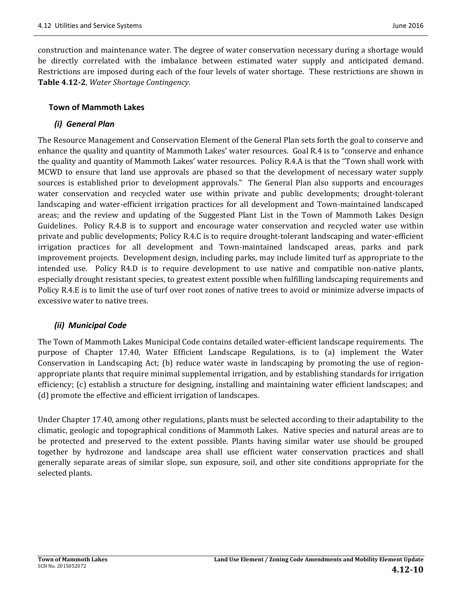construction and maintenance water. The degree of water conservation necessary during a shortage would be directly correlated with the imbalance between estimated water supply and anticipated demand. Restrictions are imposed during each of the four levels of water shortage. These restrictions are shown in **Table 4.12‐2**, *Water Shortage Contingency*. 

#### **Town of Mammoth Lakes**

#### *(i) General Plan*

The Resource Management and Conservation Element of the General Plan sets forth the goal to conserve and enhance the quality and quantity of Mammoth Lakes' water resources. Goal R.4 is to "conserve and enhance the quality and quantity of Mammoth Lakes' water resources. Policy R.4.A is that the "Town shall work with MCWD to ensure that land use approvals are phased so that the development of necessary water supply sources is established prior to development approvals." The General Plan also supports and encourages water conservation and recycled water use within private and public developments; drought-tolerant landscaping and water-efficient irrigation practices for all development and Town-maintained landscaped areas; and the review and updating of the Suggested Plant List in the Town of Mammoth Lakes Design Guidelines. Policy R.4.B is to support and encourage water conservation and recycled water use within private and public developments; Policy R.4.C is to require drought-tolerant landscaping and water-efficient irrigation practices for all development and Town-maintained landscaped areas, parks and park improvement projects. Development design, including parks, may include limited turf as appropriate to the intended use. Policy R4.D is to require development to use native and compatible non-native plants, especially drought resistant species, to greatest extent possible when fulfilling landscaping requirements and Policy R.4.E is to limit the use of turf over root zones of native trees to avoid or minimize adverse impacts of excessive water to native trees.

### *(ii) Municipal Code*

The Town of Mammoth Lakes Municipal Code contains detailed water-efficient landscape requirements. The purpose of Chapter 17.40, Water Efficient Landscape Regulations, is to (a) implement the Water Conservation in Landscaping Act; (b) reduce water waste in landscaping by promoting the use of regionappropriate plants that require minimal supplemental irrigation, and by establishing standards for irrigation efficiency; (c) establish a structure for designing, installing and maintaining water efficient landscapes; and (d) promote the effective and efficient irrigation of landscapes.

Under Chapter 17.40, among other regulations, plants must be selected according to their adaptability to the climatic, geologic and topographical conditions of Mammoth Lakes. Native species and natural areas are to be protected and preserved to the extent possible. Plants having similar water use should be grouped together by hydrozone and landscape area shall use efficient water conservation practices and shall generally separate areas of similar slope, sun exposure, soil, and other site conditions appropriate for the selected plants.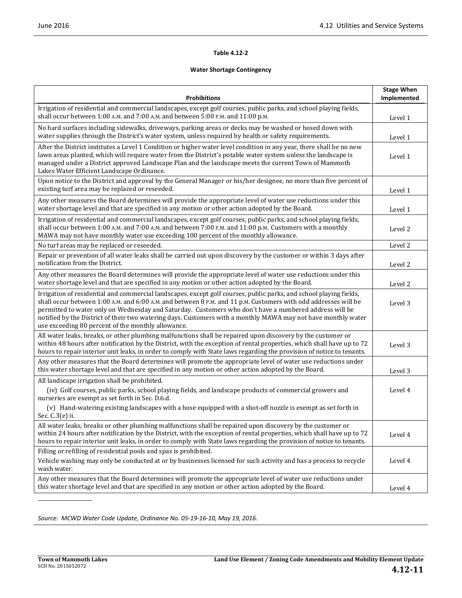#### **Table 4.12‐2**

#### **Water Shortage Contingency**

| <b>Prohibitions</b>                                                                                                                                                                                                                                                                                                                                                                                                                                                                                                    | <b>Stage When</b><br>Implemented |
|------------------------------------------------------------------------------------------------------------------------------------------------------------------------------------------------------------------------------------------------------------------------------------------------------------------------------------------------------------------------------------------------------------------------------------------------------------------------------------------------------------------------|----------------------------------|
| Irrigation of residential and commercial landscapes, except golf courses, public parks, and school playing fields,<br>shall occur between 1:00 A.M. and 7:00 A.M. and between 5:00 P.M. and 11:00 p.M.                                                                                                                                                                                                                                                                                                                 | Level 1                          |
| No hard surfaces including sidewalks, driveways, parking areas or decks may be washed or hosed down with<br>water supplies through the District's water system, unless required by health or safety requirements.                                                                                                                                                                                                                                                                                                      | Level 1                          |
| After the District institutes a Level 1 Condition or higher water level condition in any year, there shall be no new<br>lawn areas planted, which will require water from the District's potable water system unless the landscape is<br>managed under a District approved Landscape Plan and the landscape meets the current Town of Mammoth<br>Lakes Water Efficient Landscape Ordinance.                                                                                                                            | Level 1                          |
| Upon notice to the District and approval by the General Manager or his/her designee, no more than five percent of<br>existing turf area may be replaced or reseeded.                                                                                                                                                                                                                                                                                                                                                   | Level 1                          |
| Any other measures the Board determines will provide the appropriate level of water use reductions under this<br>water shortage level and that are specified in any motion or other action adopted by the Board.                                                                                                                                                                                                                                                                                                       | Level 1                          |
| Irrigation of residential and commercial landscapes, except golf courses, public parks, and school playing fields,<br>shall occur between 1:00 A.M. and 7:00 A.M. and between 7:00 P.M. and 11:00 p.M. Customers with a monthly<br>MAWA may not have monthly water use exceeding 100 percent of the monthly allowance.                                                                                                                                                                                                 | Level 2                          |
| No turf areas may be replaced or reseeded.                                                                                                                                                                                                                                                                                                                                                                                                                                                                             | Level 2                          |
| Repair or prevention of all water leaks shall be carried out upon discovery by the customer or within 3 days after<br>notification from the District.                                                                                                                                                                                                                                                                                                                                                                  | Level 2                          |
| Any other measures the Board determines will provide the appropriate level of water use reductions under this<br>water shortage level and that are specified in any motion or other action adopted by the Board.                                                                                                                                                                                                                                                                                                       | Level 2                          |
| Irrigation of residential and commercial landscapes, except golf courses, public parks, and school playing fields,<br>shall occur between 1:00 A.M. and 6:00 A.M. and between 8 P.M. and 11 p.M. Customers with odd addresses will be<br>permitted to water only on Wednesday and Saturday. Customers who don't have a numbered address will be<br>notified by the District of their two watering days. Customers with a monthly MAWA may not have monthly water<br>use exceeding 80 percent of the monthly allowance. | Level 3                          |
| All water leaks, breaks, or other plumbing malfunctions shall be repaired upon discovery by the customer or<br>within 48 hours after notification by the District, with the exception of rental properties, which shall have up to 72<br>hours to repair interior unit leaks, in order to comply with State laws regarding the provision of notice to tenants.                                                                                                                                                         | Level 3                          |
| Any other measures that the Board determines will promote the appropriate level of water use reductions under<br>this water shortage level and that are specified in any motion or other action adopted by the Board.                                                                                                                                                                                                                                                                                                  | Level 3                          |
| All landscape irrigation shall be prohibited.                                                                                                                                                                                                                                                                                                                                                                                                                                                                          |                                  |
| (iv) Golf courses, public parks, school playing fields, and landscape products of commercial growers and<br>nurseries are exempt as set forth in Sec. D.6.d.                                                                                                                                                                                                                                                                                                                                                           | Level 4                          |
| (v) Hand-watering existing landscapes with a hose equipped with a shot-off nozzle is exempt as set forth in<br>Sec. C.3(e) ii.                                                                                                                                                                                                                                                                                                                                                                                         |                                  |
| All water leaks, breaks or other plumbing malfunctions shall be repaired upon discovery by the customer or<br>within 24 hours after notification by the District, with the exception of rental properties, which shall have up to 72<br>hours to repair interior unit leaks, in order to comply with State laws regarding the provision of notice to tenants.                                                                                                                                                          | Level 4                          |
| Filling or refilling of residential pools and spas is prohibited.<br>Vehicle washing may only be conducted at or by businesses licensed for such activity and has a process to recycle<br>wash water.                                                                                                                                                                                                                                                                                                                  | Level 4                          |
| Any other measures that the Board determines will promote the appropriate level of water use reductions under<br>this water shortage level and that are specified in any motion or other action adopted by the Board.                                                                                                                                                                                                                                                                                                  | Level 4                          |

*Source: MCWD Water Code Update, Ordinance No. 05‐19‐16‐10, May 19, 2016.*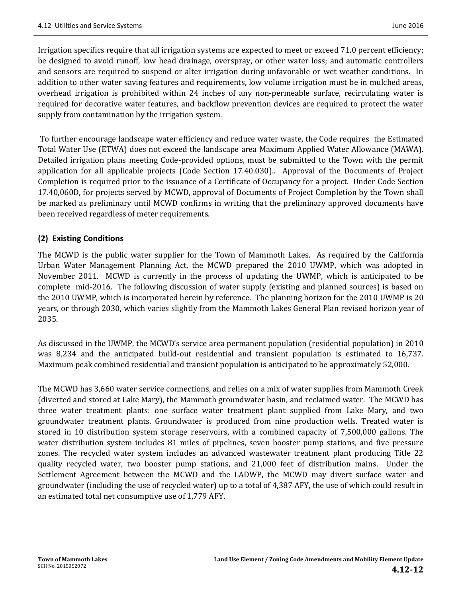Irrigation specifics require that all irrigation systems are expected to meet or exceed 71.0 percent efficiency; be designed to avoid runoff, low head drainage, overspray, or other water loss; and automatic controllers and sensors are required to suspend or alter irrigation during unfavorable or wet weather conditions. In addition to other water saving features and requirements, low volume irrigation must be in mulched areas, overhead irrigation is prohibited within 24 inches of any non-permeable surface, recirculating water is required for decorative water features, and backflow prevention devices are required to protect the water supply from contamination by the irrigation system.

To further encourage landscape water efficiency and reduce water waste, the Code requires the Estimated Total Water Use (ETWA) does not exceed the landscape area Maximum Applied Water Allowance (MAWA). Detailed irrigation plans meeting Code-provided options, must be submitted to the Town with the permit application for all applicable projects (Code Section  $17.40.030$ ).. Approval of the Documents of Project Completion is required prior to the issuance of a Certificate of Occupancy for a project. Under Code Section 17.40,060D, for projects served by MCWD, approval of Documents of Project Completion by the Town shall be marked as preliminary until MCWD confirms in writing that the preliminary approved documents have been received regardless of meter requirements.

### **(2) Existing Conditions**

The MCWD is the public water supplier for the Town of Mammoth Lakes. As required by the California Urban Water Management Planning Act, the MCWD prepared the 2010 UWMP, which was adopted in November 2011. MCWD is currently in the process of updating the UWMP, which is anticipated to be complete mid-2016. The following discussion of water supply (existing and planned sources) is based on the 2010 UWMP, which is incorporated herein by reference. The planning horizon for the 2010 UWMP is 20 years, or through 2030, which varies slightly from the Mammoth Lakes General Plan revised horizon year of 2035. 

As discussed in the UWMP, the MCWD's service area permanent population (residential population) in 2010 was 8,234 and the anticipated build-out residential and transient population is estimated to 16,737. Maximum peak combined residential and transient population is anticipated to be approximately 52,000.

The MCWD has 3,660 water service connections, and relies on a mix of water supplies from Mammoth Creek (diverted and stored at Lake Mary), the Mammoth groundwater basin, and reclaimed water. The MCWD has three water treatment plants: one surface water treatment plant supplied from Lake Mary, and two groundwater treatment plants. Groundwater is produced from nine production wells. Treated water is stored in 10 distribution system storage reservoirs, with a combined capacity of  $7,500,000$  gallons. The water distribution system includes 81 miles of pipelines, seven booster pump stations, and five pressure zones. The recycled water system includes an advanced wastewater treatment plant producing Title 22 quality recycled water, two booster pump stations, and 21,000 feet of distribution mains. Under the Settlement Agreement between the MCWD and the LADWP, the MCWD may divert surface water and groundwater (including the use of recycled water) up to a total of 4,387 AFY, the use of which could result in an estimated total net consumptive use of 1,779 AFY.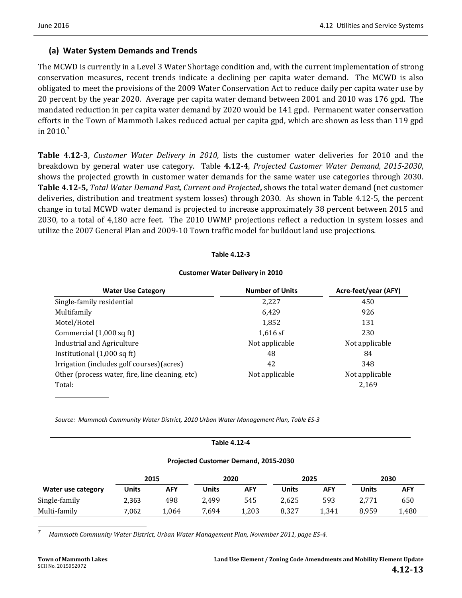### **(a) Water System Demands and Trends**

The MCWD is currently in a Level 3 Water Shortage condition and, with the current implementation of strong conservation measures, recent trends indicate a declining per capita water demand. The MCWD is also obligated to meet the provisions of the 2009 Water Conservation Act to reduce daily per capita water use by 20 percent by the year 2020. Average per capita water demand between 2001 and 2010 was 176 gpd. The mandated reduction in per capita water demand by 2020 would be 141 gpd. Permanent water conservation efforts in the Town of Mammoth Lakes reduced actual per capita gpd, which are shown as less than 119 gpd in  $2010$ .<sup>7</sup>

**Table 4.12-3**, *Customer Water Delivery in 2010*, lists the customer water deliveries for 2010 and the breakdown by general water use category. Table **4.12‐4**, *Projected Customer Water Demand, 2015‐2030*, shows the projected growth in customer water demands for the same water use categories through 2030. **Table 4.12-5,** *Total Water Demand Past, Current and Projected, shows the total water demand (net customer*) deliveries, distribution and treatment system losses) through 2030. As shown in Table 4.12-5, the percent change in total MCWD water demand is projected to increase approximately 38 percent between 2015 and 2030, to a total of 4,180 acre feet. The 2010 UWMP projections reflect a reduction in system losses and utilize the 2007 General Plan and 2009-10 Town traffic model for buildout land use projections.

#### **Table 4.12‐3**

## **Customer Water Delivery in 2010**

| <b>Water Use Category</b>                       | <b>Number of Units</b> | Acre-feet/year (AFY) |
|-------------------------------------------------|------------------------|----------------------|
| Single-family residential                       | 2,227                  | 450                  |
| Multifamily                                     | 6,429                  | 926                  |
| Motel/Hotel                                     | 1,852                  | 131                  |
| Commercial (1,000 sq ft)                        | $1,616$ sf             | 230                  |
| Industrial and Agriculture                      | Not applicable         | Not applicable       |
| Institutional (1,000 sq ft)                     | 48                     | 84                   |
| Irrigation (includes golf courses) (acres)      | 42                     | 348                  |
| Other (process water, fire, line cleaning, etc) | Not applicable         | Not applicable       |
| Total:                                          |                        | 2,169                |

*Source: Mammoth Community Water District, 2010 Urban Water Management Plan, Table ES‐3*

#### **Table 4.12‐4**

#### **Projected Customer Demand, 2015‐2030**

|                    |       | 2015       | 2020  |       |       | 2025       |       | 2030 |
|--------------------|-------|------------|-------|-------|-------|------------|-------|------|
| Water use category | Units | <b>AFY</b> | Units | AFY   | Units | <b>AFY</b> | Units | AFY  |
| Single-family      | 2,363 | 498        | 2.499 | 545   | 2.625 | 593        | 2,771 | 650  |
| Multi-family       | 7.062 | 1,064      | 7.694 | 1,203 | 8,327 | 1,341      | 8.959 | 480ء |

 *7 Mammoth Community Water District, Urban Water Management Plan, November 2011, page ES‐4.*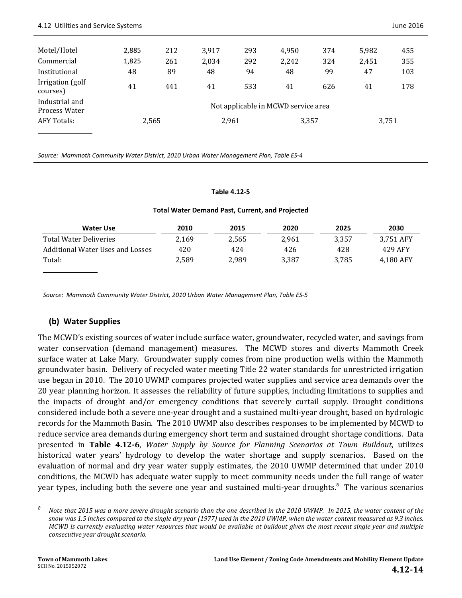| Motel/Hotel                     | 2,885 | 212   | 3,917 | 293 | 4,950                               | 374 | 5,982 | 455 |
|---------------------------------|-------|-------|-------|-----|-------------------------------------|-----|-------|-----|
| Commercial                      | 1,825 | 261   | 2,034 | 292 | 2,242                               | 324 | 2,451 | 355 |
| Institutional                   | 48    | 89    | 48    | 94  | 48                                  | 99  | 47    | 103 |
| Irrigation (golf<br>courses)    | 41    | 441   | 41    | 533 | 41                                  | 626 | 41    | 178 |
| Industrial and<br>Process Water |       |       |       |     | Not applicable in MCWD service area |     |       |     |
| <b>AFY Totals:</b>              |       | 2,565 | 2,961 |     | 3,357                               |     | 3,751 |     |
|                                 |       |       |       |     |                                     |     |       |     |

*Source: Mammoth Community Water District, 2010 Urban Water Management Plan, Table ES‐4*

#### **Table 4.12‐5**

#### **Total Water Demand Past, Current, and Projected**

| <b>Water Use</b>                 | 2010  | 2015  | 2020  | 2025  | 2030      |
|----------------------------------|-------|-------|-------|-------|-----------|
| Total Water Deliveries           | 2.169 | 2.565 | 2.961 | 3.357 | 3,751 AFY |
| Additional Water Uses and Losses | 420   | 424   | 426   | 428   | 429 AFY   |
| Total:                           | 2,589 | 2.989 | 3.387 | 3.785 | 4,180 AFY |
|                                  |       |       |       |       |           |

*Source: Mammoth Community Water District, 2010 Urban Water Management Plan, Table ES‐5*

#### **(b) Water Supplies**

The MCWD's existing sources of water include surface water, groundwater, recycled water, and savings from water conservation (demand management) measures. The MCWD stores and diverts Mammoth Creek surface water at Lake Mary. Groundwater supply comes from nine production wells within the Mammoth groundwater basin. Delivery of recycled water meeting Title 22 water standards for unrestricted irrigation use began in 2010. The 2010 UWMP compares projected water supplies and service area demands over the 20 year planning horizon. It assesses the reliability of future supplies, including limitations to supplies and the impacts of drought and/or emergency conditions that severely curtail supply. Drought conditions considered include both a severe one-year drought and a sustained multi-year drought, based on hydrologic records for the Mammoth Basin. The 2010 UWMP also describes responses to be implemented by MCWD to reduce service area demands during emergency short term and sustained drought shortage conditions. Data presented in **Table 4.12‐6**, *Water Supply by Source for Planning Scenarios at Town Buildout*, utilizes historical water years' hydrology to develop the water shortage and supply scenarios. Based on the evaluation of normal and dry year water supply estimates, the 2010 UWMP determined that under 2010 conditions, the MCWD has adequate water supply to meet community needs under the full range of water year types, including both the severe one year and sustained multi-year droughts.<sup>8</sup> The various scenarios

 

Note that 2015 was a more severe drought scenario than the one described in the 2010 UWMP. In 2015, the water content of the snow was 1.5 inches compared to the single dry year (1977) used in the 2010 UWMP, when the water content measured as 9.3 inches. MCWD is currently evaluating water resources that would be available at buildout given the most recent single year and multiple *consecutive year drought scenario.*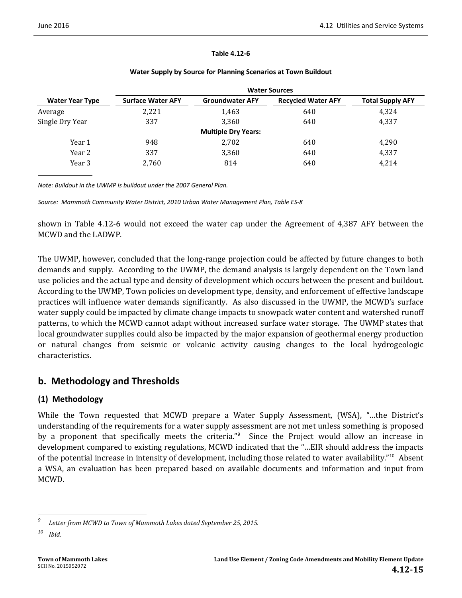#### **Table 4.12‐6**

|                        | <b>Water Sources</b>     |                            |                           |                         |  |  |  |
|------------------------|--------------------------|----------------------------|---------------------------|-------------------------|--|--|--|
| <b>Water Year Type</b> | <b>Surface Water AFY</b> | <b>Groundwater AFY</b>     | <b>Recycled Water AFY</b> | <b>Total Supply AFY</b> |  |  |  |
| Average                | 2,221                    | 1,463                      | 640                       | 4,324                   |  |  |  |
| Single Dry Year        | 337                      | 3,360                      | 640                       | 4,337                   |  |  |  |
|                        |                          | <b>Multiple Dry Years:</b> |                           |                         |  |  |  |
| Year 1                 | 948                      | 2,702                      | 640                       | 4,290                   |  |  |  |
| Year 2                 | 337                      | 3,360                      | 640                       | 4,337                   |  |  |  |
| Year 3                 | 2,760                    | 814                        | 640                       | 4,214                   |  |  |  |
|                        |                          |                            |                           |                         |  |  |  |

#### **Water Supply by Source for Planning Scenarios at Town Buildout**

*Note: Buildout in the UWMP is buildout under the 2007 General Plan.*

*Source: Mammoth Community Water District, 2010 Urban Water Management Plan, Table ES‐8*

shown in Table  $4.12$ -6 would not exceed the water cap under the Agreement of  $4,387$  AFY between the MCWD and the LADWP.

The UWMP, however, concluded that the long-range projection could be affected by future changes to both demands and supply. According to the UWMP, the demand analysis is largely dependent on the Town land use policies and the actual type and density of development which occurs between the present and buildout. According to the UWMP, Town policies on development type, density, and enforcement of effective landscape practices will influence water demands significantly. As also discussed in the UWMP, the MCWD's surface water supply could be impacted by climate change impacts to snowpack water content and watershed runoff patterns, to which the MCWD cannot adapt without increased surface water storage. The UWMP states that local groundwater supplies could also be impacted by the major expansion of geothermal energy production or natural changes from seismic or volcanic activity causing changes to the local hydrogeologic characteristics. 

## **b. Methodology and Thresholds**

### **(1) Methodology**

While the Town requested that MCWD prepare a Water Supply Assessment, (WSA), "...the District's understanding of the requirements for a water supply assessment are not met unless something is proposed by a proponent that specifically meets the criteria."<sup>9</sup> Since the Project would allow an increase in development compared to existing regulations, MCWD indicated that the "... EIR should address the impacts of the potential increase in intensity of development, including those related to water availability."<sup>10</sup> Absent a WSA, an evaluation has been prepared based on available documents and information and input from MCWD. 

 *9 Letter from MCWD to Town of Mammoth Lakes dated September 25, 2015.*

*<sup>10</sup> Ibid.*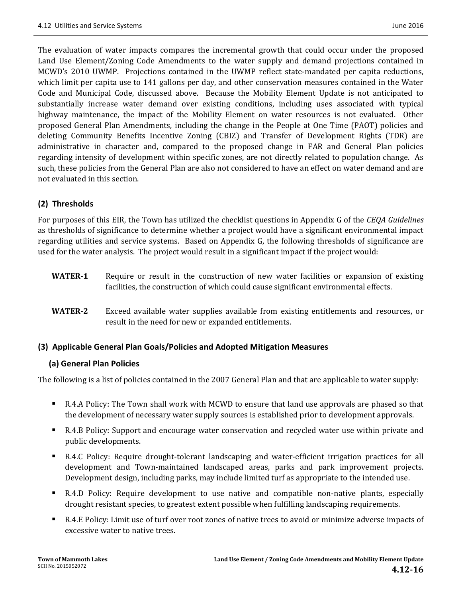The evaluation of water impacts compares the incremental growth that could occur under the proposed Land Use Element/Zoning Code Amendments to the water supply and demand projections contained in MCWD's 2010 UWMP. Projections contained in the UWMP reflect state-mandated per capita reductions, which limit per capita use to 141 gallons per day, and other conservation measures contained in the Water Code and Municipal Code, discussed above. Because the Mobility Element Update is not anticipated to substantially increase water demand over existing conditions, including uses associated with typical highway maintenance, the impact of the Mobility Element on water resources is not evaluated. Other proposed General Plan Amendments, including the change in the People at One Time (PAOT) policies and deleting Community Benefits Incentive Zoning (CBIZ) and Transfer of Development Rights (TDR) are administrative in character and, compared to the proposed change in FAR and General Plan policies regarding intensity of development within specific zones, are not directly related to population change. As such, these policies from the General Plan are also not considered to have an effect on water demand and are not evaluated in this section.

### **(2) Thresholds**

For purposes of this EIR, the Town has utilized the checklist questions in Appendix G of the *CEQA Guidelines* as thresholds of significance to determine whether a project would have a significant environmental impact regarding utilities and service systems. Based on Appendix G, the following thresholds of significance are used for the water analysis. The project would result in a significant impact if the project would:

- **WATER-1** Require or result in the construction of new water facilities or expansion of existing facilities, the construction of which could cause significant environmental effects.
- **WATER-2** Exceed available water supplies available from existing entitlements and resources, or result in the need for new or expanded entitlements.

#### **(3) Applicable General Plan Goals/Policies and Adopted Mitigation Measures**

#### **(a) General Plan Policies**

The following is a list of policies contained in the 2007 General Plan and that are applicable to water supply:

- R.4.A Policy: The Town shall work with MCWD to ensure that land use approvals are phased so that the development of necessary water supply sources is established prior to development approvals.
- R.4.B Policy: Support and encourage water conservation and recycled water use within private and public developments.
- R.4.C Policy: Require drought-tolerant landscaping and water-efficient irrigation practices for all development and Town-maintained landscaped areas, parks and park improvement projects. Development design, including parks, may include limited turf as appropriate to the intended use.
- R.4.D Policy: Require development to use native and compatible non-native plants, especially drought resistant species, to greatest extent possible when fulfilling landscaping requirements.
- R.4.E Policy: Limit use of turf over root zones of native trees to avoid or minimize adverse impacts of excessive water to native trees.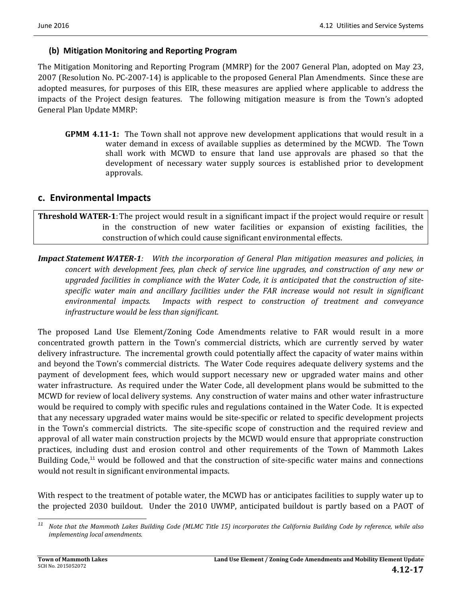#### **(b) Mitigation Monitoring and Reporting Program**

The Mitigation Monitoring and Reporting Program (MMRP) for the 2007 General Plan, adopted on May 23, 2007 (Resolution No. PC-2007-14) is applicable to the proposed General Plan Amendments. Since these are adopted measures, for purposes of this EIR, these measures are applied where applicable to address the impacts of the Project design features. The following mitigation measure is from the Town's adopted General Plan Update MMRP:

**GPMM 4.11-1:** The Town shall not approve new development applications that would result in a water demand in excess of available supplies as determined by the MCWD. The Town shall work with MCWD to ensure that land use approvals are phased so that the development of necessary water supply sources is established prior to development approvals. 

### **c. Environmental Impacts**

### **Threshold WATER-1:** The project would result in a significant impact if the project would require or result in the construction of new water facilities or expansion of existing facilities, the construction of which could cause significant environmental effects.

*Impact Statement WATER‐1: With the incorporation of General Plan mitigation measures and policies, in concert with development fees, plan check of service line upgrades, and construction of any new or upgraded facilities in compliance with the Water Code, it is anticipated that the construction of site‐ specific water main and ancillary facilities under the FAR increase would not result in significant environmental impacts. Impacts with respect to construction of treatment and conveyance infrastructure would be less than significant.* 

The proposed Land Use Element/Zoning Code Amendments relative to FAR would result in a more concentrated growth pattern in the Town's commercial districts, which are currently served by water delivery infrastructure. The incremental growth could potentially affect the capacity of water mains within and beyond the Town's commercial districts. The Water Code requires adequate delivery systems and the payment of development fees, which would support necessary new or upgraded water mains and other water infrastructure. As required under the Water Code, all development plans would be submitted to the MCWD for review of local delivery systems. Any construction of water mains and other water infrastructure would be required to comply with specific rules and regulations contained in the Water Code. It is expected that any necessary upgraded water mains would be site-specific or related to specific development projects in the Town's commercial districts. The site-specific scope of construction and the required review and approval of all water main construction projects by the MCWD would ensure that appropriate construction practices, including dust and erosion control and other requirements of the Town of Mammoth Lakes Building Code,<sup>11</sup> would be followed and that the construction of site-specific water mains and connections would not result in significant environmental impacts.

With respect to the treatment of potable water, the MCWD has or anticipates facilities to supply water up to the projected 2030 buildout. Under the 2010 UWMP, anticipated buildout is partly based on a PAOT of

 <sup>11</sup> Note that the Mammoth Lakes Building Code (MLMC Title 15) incorporates the California Building Code by reference, while also *implementing local amendments.*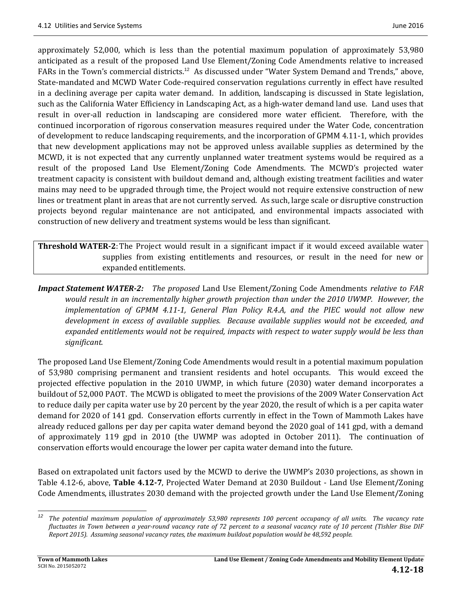approximately 52,000, which is less than the potential maximum population of approximately 53,980 anticipated as a result of the proposed Land Use Element/Zoning Code Amendments relative to increased FARs in the Town's commercial districts.<sup>12</sup> As discussed under "Water System Demand and Trends," above, State-mandated and MCWD Water Code-required conservation regulations currently in effect have resulted in a declining average per capita water demand. In addition, landscaping is discussed in State legislation, such as the California Water Efficiency in Landscaping Act, as a high-water demand land use. Land uses that result in over-all reduction in landscaping are considered more water efficient. Therefore, with the continued incorporation of rigorous conservation measures required under the Water Code, concentration of development to reduce landscaping requirements, and the incorporation of GPMM 4.11-1, which provides that new development applications may not be approved unless available supplies as determined by the MCWD, it is not expected that any currently unplanned water treatment systems would be required as a result of the proposed Land Use Element/Zoning Code Amendments. The MCWD's projected water treatment capacity is consistent with buildout demand and, although existing treatment facilities and water mains may need to be upgraded through time, the Project would not require extensive construction of new lines or treatment plant in areas that are not currently served. As such, large scale or disruptive construction projects beyond regular maintenance are not anticipated, and environmental impacts associated with construction of new delivery and treatment systems would be less than significant.

**Threshold WATER-2:** The Project would result in a significant impact if it would exceed available water supplies from existing entitlements and resources, or result in the need for new or expanded entitlements.

*Impact Statement WATER‐2: The proposed* Land Use Element/Zoning Code Amendments *relative to FAR would result in an incrementally higher growth projection than under the 2010 UWMP. However, the implementation of GPMM 4.11‐1, General Plan Policy R.4.A, and the PIEC would not allow new development in excess of available supplies. Because available supplies would not be exceeded, and expanded entitlements would not be required, impacts with respect to water supply would be less than significant.* 

The proposed Land Use Element/Zoning Code Amendments would result in a potential maximum population of 53,980 comprising permanent and transient residents and hotel occupants. This would exceed the projected effective population in the 2010 UWMP, in which future (2030) water demand incorporates a buildout of 52,000 PAOT. The MCWD is obligated to meet the provisions of the 2009 Water Conservation Act to reduce daily per capita water use by 20 percent by the year 2020, the result of which is a per capita water demand for 2020 of 141 gpd. Conservation efforts currently in effect in the Town of Mammoth Lakes have already reduced gallons per day per capita water demand beyond the 2020 goal of 141 gpd, with a demand of approximately 119 gpd in 2010 (the UWMP was adopted in October 2011). The continuation of conservation efforts would encourage the lower per capita water demand into the future.

Based on extrapolated unit factors used by the MCWD to derive the UWMP's 2030 projections, as shown in Table 4.12-6, above, **Table 4.12-7**, Projected Water Demand at 2030 Buildout - Land Use Element/Zoning Code Amendments, illustrates 2030 demand with the projected growth under the Land Use Element/Zoning

 

 $12$  The potential maximum population of approximately 53,980 represents 100 percent occupancy of all units. The vacancy rate fluctuates in Town between a year-round vacancy rate of 72 percent to a seasonal vacancy rate of 10 percent (Tishler Bise DIF *Report 2015). Assuming seasonal vacancy rates, the maximum buildout population would be 48,592 people.*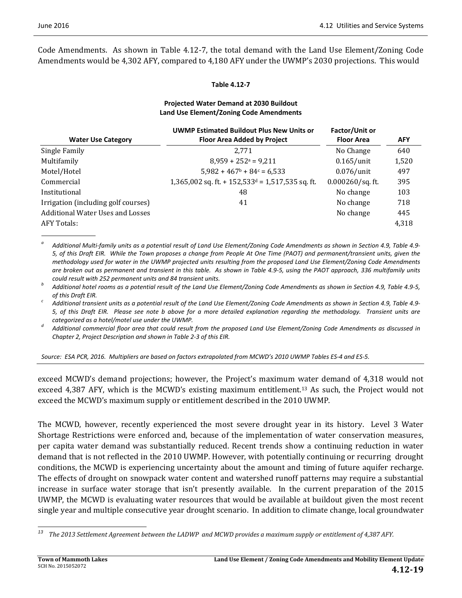Code Amendments. As shown in Table 4.12-7, the total demand with the Land Use Element/Zoning Code Amendments would be 4,302 AFY, compared to 4,180 AFY under the UWMP's 2030 projections. This would

#### **Table 4.12‐7**

#### **Projected Water Demand at 2030 Buildout Land Use Element/Zoning Code Amendments**

| <b>UWMP Estimated Buildout Plus New Units or</b>               | Factor/Unit or      |            |
|----------------------------------------------------------------|---------------------|------------|
| <b>Floor Area Added by Project</b>                             | <b>Floor Area</b>   | <b>AFY</b> |
| 2.771                                                          | No Change           | 640        |
| $8,959 + 252^a = 9,211$                                        | $0.165$ /unit       | 1,520      |
| $5,982 + 467$ <sup>b</sup> + 84 <sup>c</sup> = 6.533           | $0.076$ /unit       | 497        |
| $1,365,002$ sq. ft. + 152,533 <sup>d</sup> = 1,517,535 sq. ft. | $0.000260$ /sq. ft. | 395        |
| 48                                                             | No change           | 103        |
| 41                                                             | No change           | 718        |
|                                                                | No change           | 445        |
|                                                                |                     | 4,318      |
|                                                                |                     |            |

<sup>a</sup> Additional Multi-family units as a potential result of Land Use Element/Zoning Code Amendments as shown in Section 4.9, Table 4.9-5, of this Draft EIR. While the Town proposes a change from People At One Time (PAOT) and permanent/transient units, given the methodology used for water in the UWMP projected units resulting from the proposed Land Use Element/Zoning Code Amendments are broken out as permanent and transient in this table. As shown in Table 4.9-5, using the PAOT approach, 336 multifamily units

could result with 252 permanent units and 84 transient units.<br>Additional hotel rooms as a potential result of the Land Use Element/Zoning Code Amendments as shown in Section 4.9, Table 4.9-5,

of this Draft EIR.<br>Additional transient units as a potential result of the Land Use Element/Zoning Code Amendments as shown in Section 4.9, Table 4.9-5, of this Draft EIR. Please see note b above for a more detailed explanation regarding the methodology. Transient units are

categorized as a hotel/motel use under the UWMP.<br>Additional commercial floor area that could result from the proposed Land Use Element/Zoning Code Amendments as discussed in *Chapter 2, Project Description and shown in Table 2‐3 of this EIR.* 

#### Source: ESA PCR, 2016. Multipliers are based on factors extrapolated from MCWD's 2010 UWMP Tables ES-4 and ES-5.

exceed MCWD's demand projections; however, the Project's maximum water demand of 4,318 would not exceed  $4,387$  AFY, which is the MCWD's existing maximum entitlement.<sup>13</sup> As such, the Project would not exceed the MCWD's maximum supply or entitlement described in the 2010 UWMP.

The MCWD, however, recently experienced the most severe drought year in its history. Level 3 Water Shortage Restrictions were enforced and, because of the implementation of water conservation measures, per capita water demand was substantially reduced. Recent trends show a continuing reduction in water demand that is not reflected in the 2010 UWMP. However, with potentially continuing or recurring drought conditions, the MCWD is experiencing uncertainty about the amount and timing of future aquifer recharge. The effects of drought on snowpack water content and watershed runoff patterns may require a substantial increase in surface water storage that isn't presently available. In the current preparation of the 2015 UWMP, the MCWD is evaluating water resources that would be available at buildout given the most recent single year and multiple consecutive year drought scenario. In addition to climate change, local groundwater

 <sup>13</sup> The 2013 Settlement Agreement between the LADWP and MCWD provides a maximum supply or entitlement of 4,387 AFY.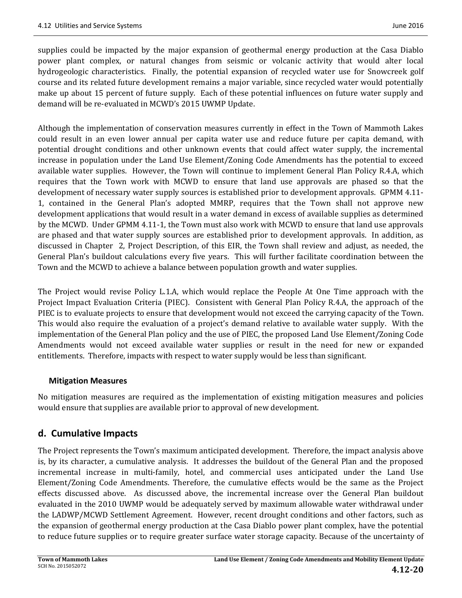supplies could be impacted by the major expansion of geothermal energy production at the Casa Diablo power plant complex, or natural changes from seismic or volcanic activity that would alter local hydrogeologic characteristics. Finally, the potential expansion of recycled water use for Snowcreek golf course and its related future development remains a major variable, since recycled water would potentially make up about 15 percent of future supply. Each of these potential influences on future water supply and demand will be re-evaluated in MCWD's 2015 UWMP Update.

Although the implementation of conservation measures currently in effect in the Town of Mammoth Lakes could result in an even lower annual per capita water use and reduce future per capita demand, with potential drought conditions and other unknown events that could affect water supply, the incremental increase in population under the Land Use Element/Zoning Code Amendments has the potential to exceed available water supplies. However, the Town will continue to implement General Plan Policy R.4.A, which requires that the Town work with MCWD to ensure that land use approvals are phased so that the development of necessary water supply sources is established prior to development approvals. GPMM 4.11-1, contained in the General Plan's adopted MMRP, requires that the Town shall not approve new development applications that would result in a water demand in excess of available supplies as determined by the MCWD. Under GPMM 4.11-1, the Town must also work with MCWD to ensure that land use approvals are phased and that water supply sources are established prior to development approvals. In addition, as discussed in Chapter 2, Project Description, of this EIR, the Town shall review and adjust, as needed, the General Plan's buildout calculations every five years. This will further facilitate coordination between the Town and the MCWD to achieve a balance between population growth and water supplies.

The Project would revise Policy L.1.A, which would replace the People At One Time approach with the Project Impact Evaluation Criteria (PIEC). Consistent with General Plan Policy R.4.A, the approach of the PIEC is to evaluate projects to ensure that development would not exceed the carrying capacity of the Town. This would also require the evaluation of a project's demand relative to available water supply. With the implementation of the General Plan policy and the use of PIEC, the proposed Land Use Element/Zoning Code Amendments would not exceed available water supplies or result in the need for new or expanded entitlements. Therefore, impacts with respect to water supply would be less than significant.

### **Mitigation Measures**

No mitigation measures are required as the implementation of existing mitigation measures and policies would ensure that supplies are available prior to approval of new development.

## **d. Cumulative Impacts**

The Project represents the Town's maximum anticipated development. Therefore, the impact analysis above is, by its character, a cumulative analysis. It addresses the buildout of the General Plan and the proposed incremental increase in multi-family, hotel, and commercial uses anticipated under the Land Use Element/Zoning Code Amendments. Therefore, the cumulative effects would be the same as the Project effects discussed above. As discussed above, the incremental increase over the General Plan buildout evaluated in the 2010 UWMP would be adequately served by maximum allowable water withdrawal under the LADWP/MCWD Settlement Agreement. However, recent drought conditions and other factors, such as the expansion of geothermal energy production at the Casa Diablo power plant complex, have the potential to reduce future supplies or to require greater surface water storage capacity. Because of the uncertainty of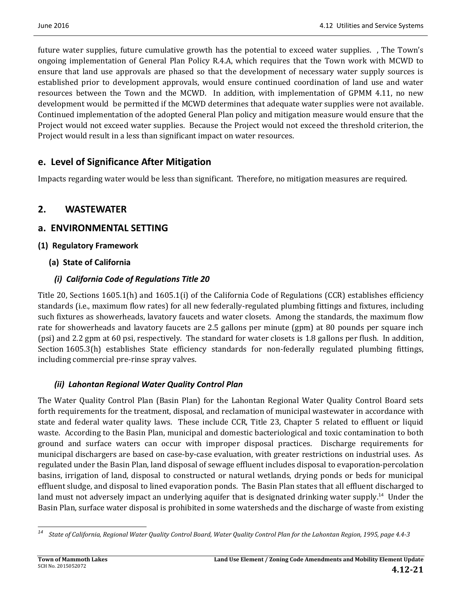future water supplies, future cumulative growth has the potential to exceed water supplies. , The Town's ongoing implementation of General Plan Policy R.4.A, which requires that the Town work with MCWD to ensure that land use approvals are phased so that the development of necessary water supply sources is established prior to development approvals, would ensure continued coordination of land use and water resources between the Town and the MCWD. In addition, with implementation of GPMM 4.11, no new development would be permitted if the MCWD determines that adequate water supplies were not available. Continued implementation of the adopted General Plan policy and mitigation measure would ensure that the Project would not exceed water supplies. Because the Project would not exceed the threshold criterion, the Project would result in a less than significant impact on water resources.

## **e. Level of Significance After Mitigation**

Impacts regarding water would be less than significant. Therefore, no mitigation measures are required.

## **2. WASTEWATER**

## **a. ENVIRONMENTAL SETTING**

**(1) Regulatory Framework**

## **(a) State of California**

## *(i) California Code of Regulations Title 20*

Title 20, Sections  $1605.1(h)$  and  $1605.1(i)$  of the California Code of Regulations (CCR) establishes efficiency standards (i.e., maximum flow rates) for all new federally-regulated plumbing fittings and fixtures, including such fixtures as showerheads, lavatory faucets and water closets. Among the standards, the maximum flow rate for showerheads and lavatory faucets are 2.5 gallons per minute (gpm) at 80 pounds per square inch (psi) and 2.2 gpm at 60 psi, respectively. The standard for water closets is 1.8 gallons per flush. In addition, Section 1605.3(h) establishes State efficiency standards for non-federally regulated plumbing fittings, including commercial pre-rinse spray valves.

## *(ii) Lahontan Regional Water Quality Control Plan*

The Water Quality Control Plan (Basin Plan) for the Lahontan Regional Water Quality Control Board sets forth requirements for the treatment, disposal, and reclamation of municipal wastewater in accordance with state and federal water quality laws. These include CCR, Title 23, Chapter 5 related to effluent or liquid waste. According to the Basin Plan, municipal and domestic bacteriological and toxic contamination to both ground and surface waters can occur with improper disposal practices. Discharge requirements for municipal dischargers are based on case-by-case evaluation, with greater restrictions on industrial uses. As regulated under the Basin Plan, land disposal of sewage effluent includes disposal to evaporation-percolation basins, irrigation of land, disposal to constructed or natural wetlands, drying ponds or beds for municipal effluent sludge, and disposal to lined evaporation ponds. The Basin Plan states that all effluent discharged to land must not adversely impact an underlying aquifer that is designated drinking water supply.<sup>14</sup> Under the Basin Plan, surface water disposal is prohibited in some watersheds and the discharge of waste from existing

 <sup>14</sup> State of California, Regional Water Quality Control Board, Water Quality Control Plan for the Lahontan Region, 1995, page 4.4-3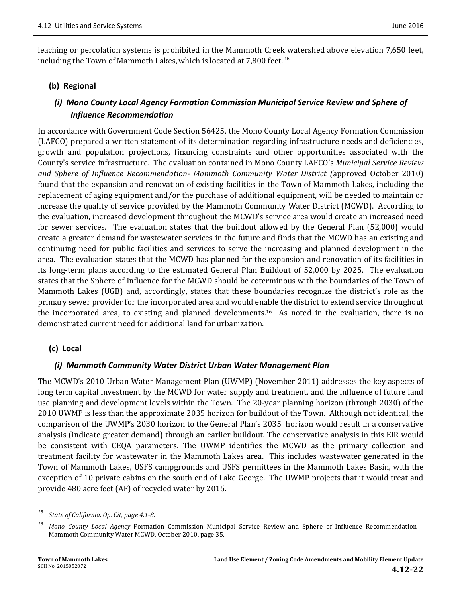leaching or percolation systems is prohibited in the Mammoth Creek watershed above elevation 7,650 feet, including the Town of Mammoth Lakes, which is located at  $7,800$  feet.<sup>15</sup>

#### **(b) Regional**

## *(i) Mono County Local Agency Formation Commission Municipal Service Review and Sphere of Influence Recommendation*

In accordance with Government Code Section 56425, the Mono County Local Agency Formation Commission (LAFCO) prepared a written statement of its determination regarding infrastructure needs and deficiencies, growth and population projections, financing constraints and other opportunities associated with the County's service infrastructure. The evaluation contained in Mono County LAFCO's *Municipal Service Review and Sphere of Influence Recommendation‐ Mammoth Community Water District (*approved October 2010) found that the expansion and renovation of existing facilities in the Town of Mammoth Lakes, including the replacement of aging equipment and/or the purchase of additional equipment, will be needed to maintain or increase the quality of service provided by the Mammoth Community Water District (MCWD). According to the evaluation, increased development throughout the MCWD's service area would create an increased need for sewer services. The evaluation states that the buildout allowed by the General Plan (52,000) would create a greater demand for wastewater services in the future and finds that the MCWD has an existing and continuing need for public facilities and services to serve the increasing and planned development in the area. The evaluation states that the MCWD has planned for the expansion and renovation of its facilities in its long-term plans according to the estimated General Plan Buildout of 52,000 by 2025. The evaluation states that the Sphere of Influence for the MCWD should be coterminous with the boundaries of the Town of Mammoth Lakes (UGB) and, accordingly, states that these boundaries recognize the district's role as the primary sewer provider for the incorporated area and would enable the district to extend service throughout the incorporated area, to existing and planned developments.<sup>16</sup> As noted in the evaluation, there is no demonstrated current need for additional land for urbanization.

#### **(c) Local**

#### *(i) Mammoth Community Water District Urban Water Management Plan*

The MCWD's 2010 Urban Water Management Plan (UWMP) (November 2011) addresses the key aspects of long term capital investment by the MCWD for water supply and treatment, and the influence of future land use planning and development levels within the Town. The 20-year planning horizon (through 2030) of the 2010 UWMP is less than the approximate 2035 horizon for buildout of the Town. Although not identical, the comparison of the UWMP's 2030 horizon to the General Plan's 2035 horizon would result in a conservative analysis (indicate greater demand) through an earlier buildout. The conservative analysis in this EIR would be consistent with CEQA parameters. The UWMP identifies the MCWD as the primary collection and treatment facility for wastewater in the Mammoth Lakes area. This includes wastewater generated in the Town of Mammoth Lakes, USFS campgrounds and USFS permittees in the Mammoth Lakes Basin, with the exception of 10 private cabins on the south end of Lake George. The UWMP projects that it would treat and provide 480 acre feet (AF) of recycled water by 2015.

<sup>&</sup>lt;u> 1989 - Johann Stein, fransk politik (d. 1989)</u> *<sup>15</sup> State of California, Op. Cit, page 4.1‐8.*

<sup>&</sup>lt;sup>16</sup> Mono County Local Agency Formation Commission Municipal Service Review and Sphere of Influence Recommendation -Mammoth Community Water MCWD, October 2010, page 35.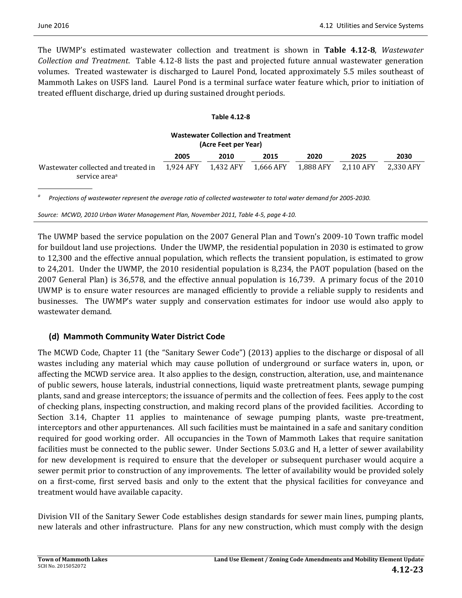The UWMP's estimated wastewater collection and treatment is shown in **Table 4.12-8**, Wastewater *Collection* and *Treatment*. Table 4.12-8 lists the past and projected future annual wastewater generation volumes. Treated wastewater is discharged to Laurel Pond, located approximately 5.5 miles southeast of Mammoth Lakes on USFS land. Laurel Pond is a terminal surface water feature which, prior to initiation of treated effluent discharge, dried up during sustained drought periods.

#### **Table 4.12‐8**

| <b>Wastewater Collection and Treatment</b><br>(Acre Feet per Year) |           |           |           |           |           |           |
|--------------------------------------------------------------------|-----------|-----------|-----------|-----------|-----------|-----------|
|                                                                    | 2005      | 2010      | 2015      | 2020      | 2025      | 2030      |
| Wastewater collected and treated in<br>service area <sup>a</sup>   | 1.924 AFY | 1,432 AFY | 1,666 AFY | 1,888 AFY | 2,110 AFY | 2,330 AFY |

*a* Projections of wastewater represent the average ratio of collected wastewater to total water demand for 2005-2030.

*Source: MCWD, 2010 Urban Water Management Plan, November 2011, Table 4‐5, page 4‐10.* 

The UWMP based the service population on the 2007 General Plan and Town's 2009-10 Town traffic model for buildout land use projections. Under the UWMP, the residential population in 2030 is estimated to grow to 12,300 and the effective annual population, which reflects the transient population, is estimated to grow to 24,201. Under the UWMP, the 2010 residential population is 8,234, the PAOT population (based on the 2007 General Plan) is 36,578, and the effective annual population is 16,739. A primary focus of the 2010 UWMP is to ensure water resources are managed efficiently to provide a reliable supply to residents and businesses. The UWMP's water supply and conservation estimates for indoor use would also apply to wastewater demand.

#### **(d) Mammoth Community Water District Code**

The MCWD Code, Chapter 11 (the "Sanitary Sewer Code") (2013) applies to the discharge or disposal of all wastes including any material which may cause pollution of underground or surface waters in, upon, or affecting the MCWD service area. It also applies to the design, construction, alteration, use, and maintenance of public sewers, house laterals, industrial connections, liquid waste pretreatment plants, sewage pumping plants, sand and grease interceptors; the issuance of permits and the collection of fees. Fees apply to the cost of checking plans, inspecting construction, and making record plans of the provided facilities. According to Section 3.14, Chapter 11 applies to maintenance of sewage pumping plants, waste pre-treatment, interceptors and other appurtenances. All such facilities must be maintained in a safe and sanitary condition required for good working order. All occupancies in the Town of Mammoth Lakes that require sanitation facilities must be connected to the public sewer. Under Sections 5.03.G and H, a letter of sewer availability for new development is required to ensure that the developer or subsequent purchaser would acquire a sewer permit prior to construction of any improvements. The letter of availability would be provided solely on a first-come, first served basis and only to the extent that the physical facilities for conveyance and treatment would have available capacity.

Division VII of the Sanitary Sewer Code establishes design standards for sewer main lines, pumping plants, new laterals and other infrastructure. Plans for any new construction, which must comply with the design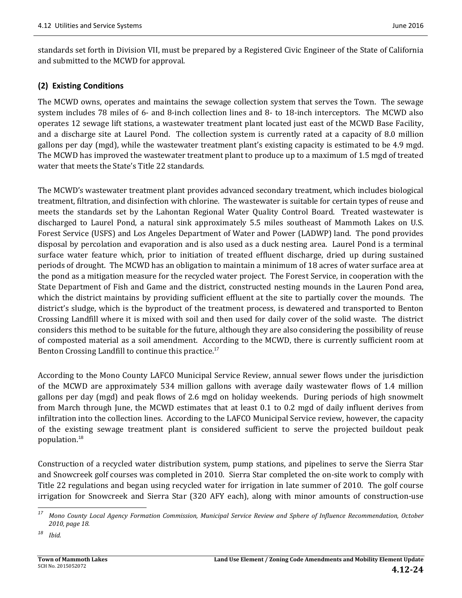standards set forth in Division VII, must be prepared by a Registered Civic Engineer of the State of California and submitted to the MCWD for approval.

#### **(2) Existing Conditions**

The MCWD owns, operates and maintains the sewage collection system that serves the Town. The sewage system includes 78 miles of 6- and 8-inch collection lines and 8- to 18-inch interceptors. The MCWD also operates 12 sewage lift stations, a wastewater treatment plant located just east of the MCWD Base Facility, and a discharge site at Laurel Pond. The collection system is currently rated at a capacity of 8.0 million gallons per day (mgd), while the wastewater treatment plant's existing capacity is estimated to be 4.9 mgd. The MCWD has improved the wastewater treatment plant to produce up to a maximum of 1.5 mgd of treated water that meets the State's Title 22 standards.

The MCWD's wastewater treatment plant provides advanced secondary treatment, which includes biological treatment, filtration, and disinfection with chlorine. The wastewater is suitable for certain types of reuse and meets the standards set by the Lahontan Regional Water Quality Control Board. Treated wastewater is discharged to Laurel Pond, a natural sink approximately 5.5 miles southeast of Mammoth Lakes on U.S. Forest Service (USFS) and Los Angeles Department of Water and Power (LADWP) land. The pond provides disposal by percolation and evaporation and is also used as a duck nesting area. Laurel Pond is a terminal surface water feature which, prior to initiation of treated effluent discharge, dried up during sustained periods of drought. The MCWD has an obligation to maintain a minimum of 18 acres of water surface area at the pond as a mitigation measure for the recycled water project. The Forest Service, in cooperation with the State Department of Fish and Game and the district, constructed nesting mounds in the Lauren Pond area, which the district maintains by providing sufficient effluent at the site to partially cover the mounds. The district's sludge, which is the byproduct of the treatment process, is dewatered and transported to Benton Crossing Landfill where it is mixed with soil and then used for daily cover of the solid waste. The district considers this method to be suitable for the future, although they are also considering the possibility of reuse of composted material as a soil amendment. According to the MCWD, there is currently sufficient room at Benton Crossing Landfill to continue this practice.<sup>17</sup>

According to the Mono County LAFCO Municipal Service Review, annual sewer flows under the jurisdiction of the MCWD are approximately 534 million gallons with average daily wastewater flows of 1.4 million gallons per day (mgd) and peak flows of 2.6 mgd on holiday weekends. During periods of high snowmelt from March through June, the MCWD estimates that at least 0.1 to 0.2 mgd of daily influent derives from infiltration into the collection lines. According to the LAFCO Municipal Service review, however, the capacity of the existing sewage treatment plant is considered sufficient to serve the projected buildout peak population.<sup>18</sup> 

Construction of a recycled water distribution system, pump stations, and pipelines to serve the Sierra Star and Snowcreek golf courses was completed in 2010. Sierra Star completed the on-site work to comply with Title 22 regulations and began using recycled water for irrigation in late summer of 2010. The golf course irrigation for Snowcreek and Sierra Star (320 AFY each), along with minor amounts of construction-use

 

<sup>&</sup>lt;sup>17</sup> Mono County Local Agency Formation Commission, Municipal Service Review and Sphere of Influence Recommendation, October *2010, page 18.*

*<sup>18</sup> Ibid.*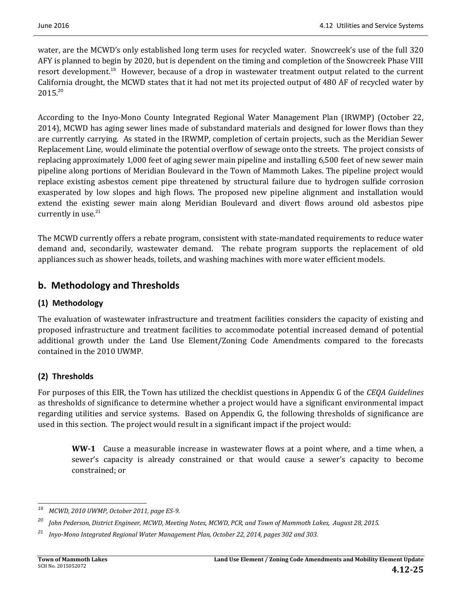water, are the MCWD's only established long term uses for recycled water. Snowcreek's use of the full 320 AFY is planned to begin by 2020, but is dependent on the timing and completion of the Snowcreek Phase VIII resort development.<sup>19</sup> However, because of a drop in wastewater treatment output related to the current California drought, the MCWD states that it had not met its projected output of 480 AF of recycled water by  $2015^{20}$ 

According to the Inyo-Mono County Integrated Regional Water Management Plan (IRWMP) (October 22, 2014), MCWD has aging sewer lines made of substandard materials and designed for lower flows than they are currently carrying. As stated in the IRWMP, completion of certain projects, such as the Meridian Sewer Replacement Line, would eliminate the potential overflow of sewage onto the streets. The project consists of replacing approximately 1,000 feet of aging sewer main pipeline and installing 6,500 feet of new sewer main pipeline along portions of Meridian Boulevard in the Town of Mammoth Lakes. The pipeline project would replace existing asbestos cement pipe threatened by structural failure due to hydrogen sulfide corrosion exasperated by low slopes and high flows. The proposed new pipeline alignment and installation would extend the existing sewer main along Meridian Boulevard and divert flows around old asbestos pipe currently in use. $21$ 

The MCWD currently offers a rebate program, consistent with state-mandated requirements to reduce water demand and, secondarily, wastewater demand. The rebate program supports the replacement of old appliances such as shower heads, toilets, and washing machines with more water efficient models.

## **b. Methodology and Thresholds**

### **(1) Methodology**

The evaluation of wastewater infrastructure and treatment facilities considers the capacity of existing and proposed infrastructure and treatment facilities to accommodate potential increased demand of potential additional growth under the Land Use Element/Zoning Code Amendments compared to the forecasts contained in the 2010 UWMP.

### **(2) Thresholds**

For purposes of this EIR, the Town has utilized the checklist questions in Appendix G of the *CEQA Guidelines* as thresholds of significance to determine whether a project would have a significant environmental impact regarding utilities and service systems. Based on Appendix G, the following thresholds of significance are used in this section. The project would result in a significant impact if the project would:

**WW**<sup>-1</sup> Cause a measurable increase in wastewater flows at a point where, and a time when, a sewer's capacity is already constrained or that would cause a sewer's capacity to become constrained; or

<sup>&</sup>lt;u> 1989 - Johann Stein, fransk politik (d. 1989)</u> *<sup>19</sup> MCWD, 2010 UWMP, October 2011, page ES‐9.*

<sup>&</sup>lt;sup>20</sup> John Pederson, District Engineer, MCWD, Meeting Notes, MCWD, PCR, and Town of Mammoth Lakes, August 28, 2015.

*<sup>21</sup> Inyo‐Mono Integrated Regional Water Management Plan, October 22, 2014, pages 302 and 303.*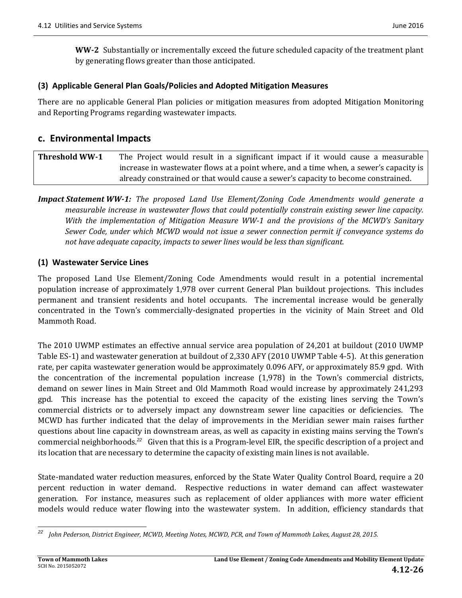**WW**-2 Substantially or incrementally exceed the future scheduled capacity of the treatment plant by generating flows greater than those anticipated.

#### **(3) Applicable General Plan Goals/Policies and Adopted Mitigation Measures**

There are no applicable General Plan policies or mitigation measures from adopted Mitigation Monitoring and Reporting Programs regarding wastewater impacts.

### **c. Environmental Impacts**

| <b>Threshold WW-1</b> | The Project would result in a significant impact if it would cause a measurable       |  |  |  |  |  |
|-----------------------|---------------------------------------------------------------------------------------|--|--|--|--|--|
|                       | increase in wastewater flows at a point where, and a time when, a sewer's capacity is |  |  |  |  |  |
|                       | already constrained or that would cause a sewer's capacity to become constrained.     |  |  |  |  |  |

### *Impact Statement WW‐1: The proposed Land Use Element/Zoning Code Amendments would generate a measurable increase in wastewater flows that could potentially constrain existing sewer line capacity. With the implementation of Mitigation Measure WW‐1 and the provisions of the MCWD's Sanitary Sewer Code, under which MCWD would not issue a sewer connection permit if conveyance systems do not have adequate capacity, impacts to sewer lines would be less than significant.*

#### **(1) Wastewater Service Lines**

The proposed Land Use Element/Zoning Code Amendments would result in a potential incremental population increase of approximately 1,978 over current General Plan buildout projections. This includes permanent and transient residents and hotel occupants. The incremental increase would be generally concentrated in the Town's commercially-designated properties in the vicinity of Main Street and Old Mammoth Road.

The 2010 UWMP estimates an effective annual service area population of 24,201 at buildout (2010 UWMP Table ES-1) and wastewater generation at buildout of 2,330 AFY (2010 UWMP Table 4-5). At this generation rate, per capita wastewater generation would be approximately 0.096 AFY, or approximately 85.9 gpd. With the concentration of the incremental population increase  $(1,978)$  in the Town's commercial districts, demand on sewer lines in Main Street and Old Mammoth Road would increase by approximately 241,293 gpd. This increase has the potential to exceed the capacity of the existing lines serving the Town's commercial districts or to adversely impact any downstream sewer line capacities or deficiencies. The MCWD has further indicated that the delay of improvements in the Meridian sewer main raises further questions about line capacity in downstream areas, as well as capacity in existing mains serving the Town's commercial neighborhoods.<sup>22</sup> Given that this is a Program-level EIR, the specific description of a project and its location that are necessary to determine the capacity of existing main lines is not available.

State-mandated water reduction measures, enforced by the State Water Quality Control Board, require a 20 percent reduction in water demand. Respective reductions in water demand can affect wastewater generation. For instance, measures such as replacement of older appliances with more water efficient models would reduce water flowing into the wastewater system. In addition, efficiency standards that

 <sup>22</sup> John Pederson, District Engineer, MCWD, Meeting Notes, MCWD, PCR, and Town of Mammoth Lakes, August 28, 2015.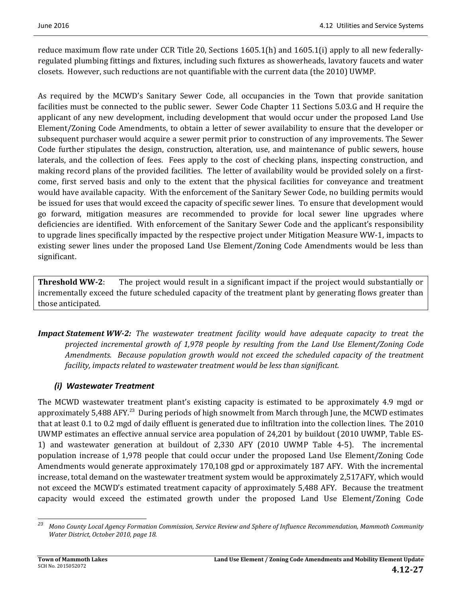reduce maximum flow rate under CCR Title 20, Sections  $1605.1(h)$  and  $1605.1(i)$  apply to all new federallyregulated plumbing fittings and fixtures, including such fixtures as showerheads, lavatory faucets and water closets. However, such reductions are not quantifiable with the current data (the 2010) UWMP.

As required by the MCWD's Sanitary Sewer Code, all occupancies in the Town that provide sanitation facilities must be connected to the public sewer. Sewer Code Chapter 11 Sections 5.03.G and H require the applicant of any new development, including development that would occur under the proposed Land Use Element/Zoning Code Amendments, to obtain a letter of sewer availability to ensure that the developer or subsequent purchaser would acquire a sewer permit prior to construction of any improvements. The Sewer Code further stipulates the design, construction, alteration, use, and maintenance of public sewers, house laterals, and the collection of fees. Fees apply to the cost of checking plans, inspecting construction, and making record plans of the provided facilities. The letter of availability would be provided solely on a firstcome, first served basis and only to the extent that the physical facilities for conveyance and treatment would have available capacity. With the enforcement of the Sanitary Sewer Code, no building permits would be issued for uses that would exceed the capacity of specific sewer lines. To ensure that development would go forward, mitigation measures are recommended to provide for local sewer line upgrades where deficiencies are identified. With enforcement of the Sanitary Sewer Code and the applicant's responsibility to upgrade lines specifically impacted by the respective project under Mitigation Measure WW-1, impacts to existing sewer lines under the proposed Land Use Element/Zoning Code Amendments would be less than significant. 

**Threshold WW-2:** The project would result in a significant impact if the project would substantially or incrementally exceed the future scheduled capacity of the treatment plant by generating flows greater than those anticipated.

*Impact Statement WW‐2: The wastewater treatment facility would have adequate capacity to treat the projected incremental growth of 1,978 people by resulting from the Land Use Element/Zoning Code Amendments. Because population growth would not exceed the scheduled capacity of the treatment facility, impacts related to wastewater treatment would be less than significant.*

## *(i) Wastewater Treatment*

The MCWD wastewater treatment plant's existing capacity is estimated to be approximately 4.9 mgd or approximately 5,488 AFY.<sup>23</sup> During periods of high snowmelt from March through June, the MCWD estimates that at least 0.1 to 0.2 mgd of daily effluent is generated due to infiltration into the collection lines. The 2010 UWMP estimates an effective annual service area population of 24,201 by buildout (2010 UWMP, Table ES-1) and wastewater generation at buildout of 2,330 AFY (2010 UWMP Table 4-5). The incremental population increase of 1,978 people that could occur under the proposed Land Use Element/Zoning Code Amendments would generate approximately 170,108 gpd or approximately 187 AFY. With the incremental increase, total demand on the wastewater treatment system would be approximately 2,517AFY, which would not exceed the MCWD's estimated treatment capacity of approximately 5,488 AFY. Because the treatment capacity would exceed the estimated growth under the proposed Land Use Element/Zoning Code

 <sup>23</sup> Mono County Local Agency Formation Commission, Service Review and Sphere of Influence Recommendation, Mammoth Community *Water District, October 2010, page 18.*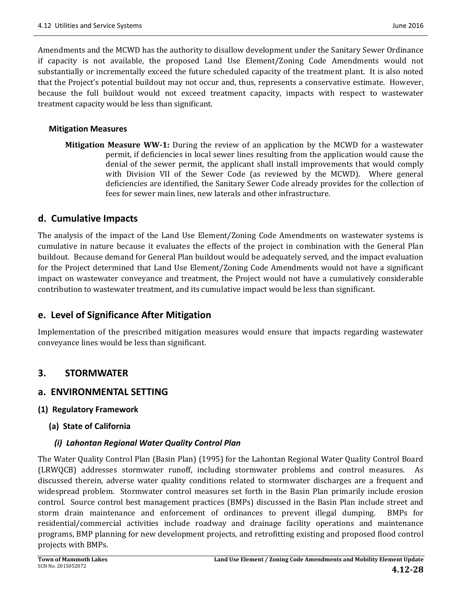Amendments and the MCWD has the authority to disallow development under the Sanitary Sewer Ordinance if capacity is not available, the proposed Land Use Element/Zoning Code Amendments would not substantially or incrementally exceed the future scheduled capacity of the treatment plant. It is also noted that the Project's potential buildout may not occur and, thus, represents a conservative estimate. However, because the full buildout would not exceed treatment capacity, impacts with respect to wastewater treatment capacity would be less than significant.

#### **Mitigation Measures**

**Mitigation Measure WW-1:** During the review of an application by the MCWD for a wastewater permit, if deficiencies in local sewer lines resulting from the application would cause the denial of the sewer permit, the applicant shall install improvements that would comply with Division VII of the Sewer Code (as reviewed by the MCWD). Where general deficiencies are identified, the Sanitary Sewer Code already provides for the collection of fees for sewer main lines, new laterals and other infrastructure.

### **d. Cumulative Impacts**

The analysis of the impact of the Land Use Element/Zoning Code Amendments on wastewater systems is cumulative in nature because it evaluates the effects of the project in combination with the General Plan buildout. Because demand for General Plan buildout would be adequately served, and the impact evaluation for the Project determined that Land Use Element/Zoning Code Amendments would not have a significant impact on wastewater conveyance and treatment, the Project would not have a cumulatively considerable contribution to wastewater treatment, and its cumulative impact would be less than significant.

## **e. Level of Significance After Mitigation**

Implementation of the prescribed mitigation measures would ensure that impacts regarding wastewater conveyance lines would be less than significant.

## **3. STORMWATER**

### **a. ENVIRONMENTAL SETTING**

### **(1) Regulatory Framework**

### **(a) State of California**

### *(i) Lahontan Regional Water Quality Control Plan*

The Water Quality Control Plan (Basin Plan) (1995) for the Lahontan Regional Water Quality Control Board (LRWQCB) addresses stormwater runoff, including stormwater problems and control measures. As discussed therein, adverse water quality conditions related to stormwater discharges are a frequent and widespread problem. Stormwater control measures set forth in the Basin Plan primarily include erosion control. Source control best management practices (BMPs) discussed in the Basin Plan include street and storm drain maintenance and enforcement of ordinances to prevent illegal dumping. BMPs for residential/commercial activities include roadway and drainage facility operations and maintenance programs, BMP planning for new development projects, and retrofitting existing and proposed flood control projects with BMPs.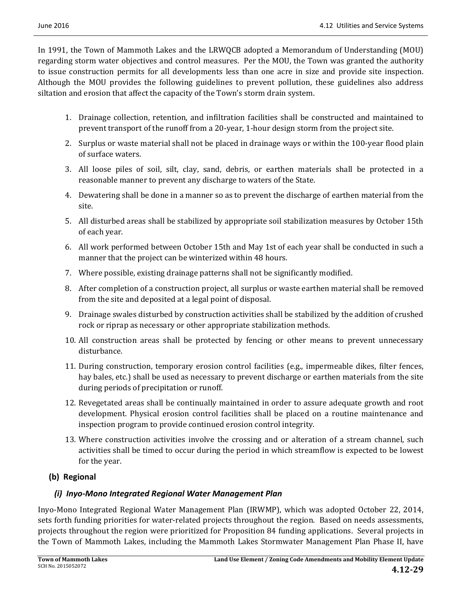In 1991, the Town of Mammoth Lakes and the LRWQCB adopted a Memorandum of Understanding (MOU) regarding storm water objectives and control measures. Per the MOU, the Town was granted the authority to issue construction permits for all developments less than one acre in size and provide site inspection. Although the MOU provides the following guidelines to prevent pollution, these guidelines also address siltation and erosion that affect the capacity of the Town's storm drain system.

- 1. Drainage collection, retention, and infiltration facilities shall be constructed and maintained to prevent transport of the runoff from a 20-year, 1-hour design storm from the project site.
- 2. Surplus or waste material shall not be placed in drainage ways or within the 100-year flood plain of surface waters.
- 3. All loose piles of soil, silt, clay, sand, debris, or earthen materials shall be protected in a reasonable manner to prevent any discharge to waters of the State.
- 4. Dewatering shall be done in a manner so as to prevent the discharge of earthen material from the site.
- 5. All disturbed areas shall be stabilized by appropriate soil stabilization measures by October 15th of each vear.
- 6. All work performed between October 15th and May 1st of each year shall be conducted in such a manner that the project can be winterized within 48 hours.
- 7. Where possible, existing drainage patterns shall not be significantly modified.
- 8. After completion of a construction project, all surplus or waste earthen material shall be removed from the site and deposited at a legal point of disposal.
- 9. Drainage swales disturbed by construction activities shall be stabilized by the addition of crushed rock or riprap as necessary or other appropriate stabilization methods.
- 10. All construction areas shall be protected by fencing or other means to prevent unnecessary disturbance.
- 11. During construction, temporary erosion control facilities (e.g., impermeable dikes, filter fences, hay bales, etc.) shall be used as necessary to prevent discharge or earthen materials from the site during periods of precipitation or runoff.
- 12. Revegetated areas shall be continually maintained in order to assure adequate growth and root development. Physical erosion control facilities shall be placed on a routine maintenance and inspection program to provide continued erosion control integrity.
- 13. Where construction activities involve the crossing and or alteration of a stream channel, such activities shall be timed to occur during the period in which streamflow is expected to be lowest for the year.

## **(b) Regional**

## *(i) Inyo‐Mono Integrated Regional Water Management Plan*

Inyo-Mono Integrated Regional Water Management Plan (IRWMP), which was adopted October 22, 2014, sets forth funding priorities for water-related projects throughout the region. Based on needs assessments, projects throughout the region were prioritized for Proposition 84 funding applications. Several projects in the Town of Mammoth Lakes, including the Mammoth Lakes Stormwater Management Plan Phase II, have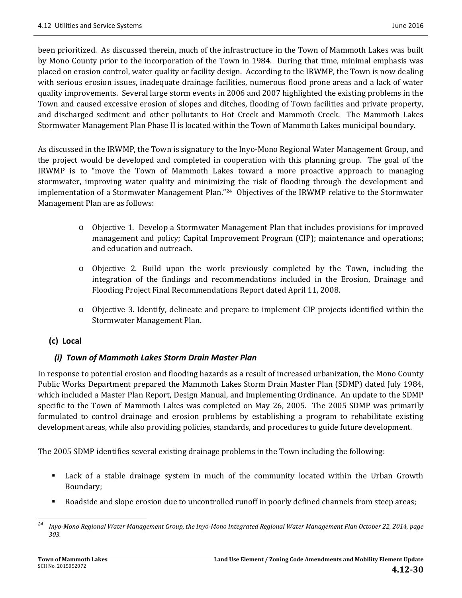been prioritized. As discussed therein, much of the infrastructure in the Town of Mammoth Lakes was built by Mono County prior to the incorporation of the Town in 1984. During that time, minimal emphasis was placed on erosion control, water quality or facility design. According to the IRWMP, the Town is now dealing with serious erosion issues, inadequate drainage facilities, numerous flood prone areas and a lack of water quality improvements. Several large storm events in 2006 and 2007 highlighted the existing problems in the Town and caused excessive erosion of slopes and ditches, flooding of Town facilities and private property, and discharged sediment and other pollutants to Hot Creek and Mammoth Creek. The Mammoth Lakes Stormwater Management Plan Phase II is located within the Town of Mammoth Lakes municipal boundary.

As discussed in the IRWMP, the Town is signatory to the Inyo-Mono Regional Water Management Group, and the project would be developed and completed in cooperation with this planning group. The goal of the IRWMP is to "move the Town of Mammoth Lakes toward a more proactive approach to managing stormwater, improving water quality and minimizing the risk of flooding through the development and implementation of a Stormwater Management Plan."<sup>24</sup> Objectives of the IRWMP relative to the Stormwater Management Plan are as follows:

- $\circ$  Objective 1. Develop a Stormwater Management Plan that includes provisions for improved management and policy; Capital Improvement Program (CIP); maintenance and operations; and education and outreach.
- o Objective 2. Build upon the work previously completed by the Town, including the integration of the findings and recommendations included in the Erosion, Drainage and Flooding Project Final Recommendations Report dated April 11, 2008.
- $\circ$  Objective 3. Identify, delineate and prepare to implement CIP projects identified within the Stormwater Management Plan.

## **(c) Local**

## *(i) Town of Mammoth Lakes Storm Drain Master Plan*

In response to potential erosion and flooding hazards as a result of increased urbanization, the Mono County Public Works Department prepared the Mammoth Lakes Storm Drain Master Plan (SDMP) dated July 1984, which included a Master Plan Report, Design Manual, and Implementing Ordinance. An update to the SDMP specific to the Town of Mammoth Lakes was completed on May 26, 2005. The 2005 SDMP was primarily formulated to control drainage and erosion problems by establishing a program to rehabilitate existing development areas, while also providing policies, standards, and procedures to guide future development.

The 2005 SDMP identifies several existing drainage problems in the Town including the following:

- Lack of a stable drainage system in much of the community located within the Urban Growth Boundary;
- Koadside and slope erosion due to uncontrolled runoff in poorly defined channels from steep areas;

 <sup>24</sup> Inyo-Mono Regional Water Management Group, the Inyo-Mono Integrated Regional Water Management Plan October 22, 2014, page *303.*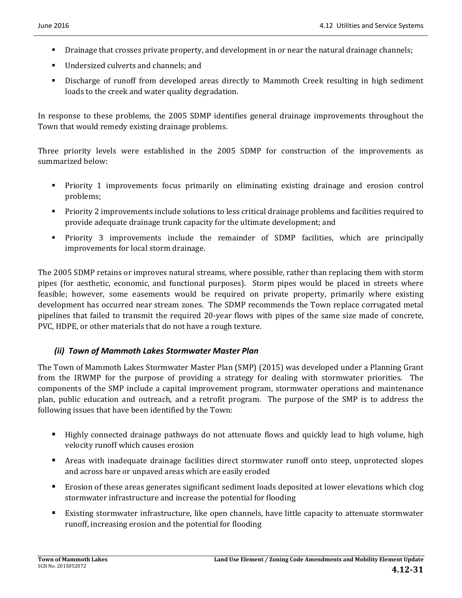- **•** Drainage that crosses private property, and development in or near the natural drainage channels;
- Undersized culverts and channels; and
- **•** Discharge of runoff from developed areas directly to Mammoth Creek resulting in high sediment loads to the creek and water quality degradation.

In response to these problems, the 2005 SDMP identifies general drainage improvements throughout the Town that would remedy existing drainage problems.

Three priority levels were established in the 2005 SDMP for construction of the improvements as summarized below:

- Priority 1 improvements focus primarily on eliminating existing drainage and erosion control problems;
- **Priority** 2 improvements include solutions to less critical drainage problems and facilities required to provide adequate drainage trunk capacity for the ultimate development; and
- **•** Priority 3 improvements include the remainder of SDMP facilities, which are principally improvements for local storm drainage.

The 2005 SDMP retains or improves natural streams, where possible, rather than replacing them with storm pipes (for aesthetic, economic, and functional purposes). Storm pipes would be placed in streets where feasible; however, some easements would be required on private property, primarily where existing development has occurred near stream zones. The SDMP recommends the Town replace corrugated metal pipelines that failed to transmit the required 20-year flows with pipes of the same size made of concrete, PVC, HDPE, or other materials that do not have a rough texture.

### *(ii) Town of Mammoth Lakes Stormwater Master Plan*

The Town of Mammoth Lakes Stormwater Master Plan (SMP) (2015) was developed under a Planning Grant from the IRWMP for the purpose of providing a strategy for dealing with stormwater priorities. The components of the SMP include a capital improvement program, stormwater operations and maintenance plan, public education and outreach, and a retrofit program. The purpose of the SMP is to address the following issues that have been identified by the Town:

- Highly connected drainage pathways do not attenuate flows and quickly lead to high volume, high velocity runoff which causes erosion
- **•** Areas with inadequate drainage facilities direct stormwater runoff onto steep, unprotected slopes and across bare or unpaved areas which are easily eroded
- Erosion of these areas generates significant sediment loads deposited at lower elevations which clog stormwater infrastructure and increase the potential for flooding
- Existing stormwater infrastructure, like open channels, have little capacity to attenuate stormwater runoff, increasing erosion and the potential for flooding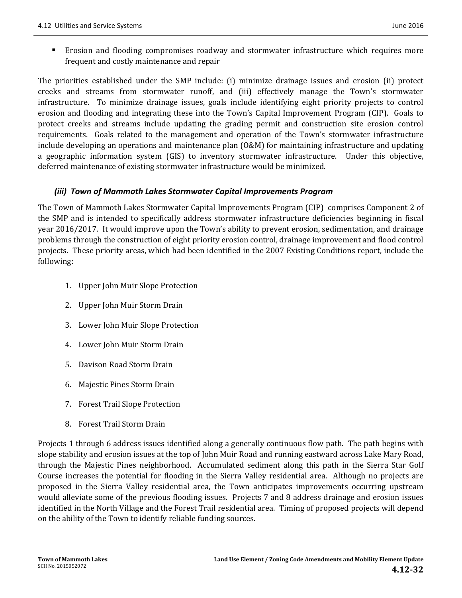The priorities established under the SMP include: (i) minimize drainage issues and erosion (ii) protect creeks and streams from stormwater runoff, and (iii) effectively manage the Town's stormwater infrastructure. To minimize drainage issues, goals include identifying eight priority projects to control erosion and flooding and integrating these into the Town's Capital Improvement Program (CIP). Goals to protect creeks and streams include updating the grading permit and construction site erosion control requirements. Goals related to the management and operation of the Town's stormwater infrastructure include developing an operations and maintenance plan  $(0&M)$  for maintaining infrastructure and updating a geographic information system (GIS) to inventory stormwater infrastructure. Under this objective, deferred maintenance of existing stormwater infrastructure would be minimized.

#### *(iii) Town of Mammoth Lakes Stormwater Capital Improvements Program*

The Town of Mammoth Lakes Stormwater Capital Improvements Program (CIP) comprises Component 2 of the SMP and is intended to specifically address stormwater infrastructure deficiencies beginning in fiscal year 2016/2017. It would improve upon the Town's ability to prevent erosion, sedimentation, and drainage problems through the construction of eight priority erosion control, drainage improvement and flood control projects. These priority areas, which had been identified in the 2007 Existing Conditions report, include the following: 

- 1. Upper John Muir Slope Protection
- 2. Upper John Muir Storm Drain
- 3. Lower John Muir Slope Protection
- 4. Lower John Muir Storm Drain
- 5. Davison Road Storm Drain
- 6. Majestic Pines Storm Drain
- 7. Forest Trail Slope Protection
- 8. Forest Trail Storm Drain

Projects 1 through 6 address issues identified along a generally continuous flow path. The path begins with slope stability and erosion issues at the top of John Muir Road and running eastward across Lake Mary Road, through the Majestic Pines neighborhood. Accumulated sediment along this path in the Sierra Star Golf Course increases the potential for flooding in the Sierra Valley residential area. Although no projects are proposed in the Sierra Valley residential area, the Town anticipates improvements occurring upstream would alleviate some of the previous flooding issues. Projects 7 and 8 address drainage and erosion issues identified in the North Village and the Forest Trail residential area. Timing of proposed projects will depend on the ability of the Town to identify reliable funding sources.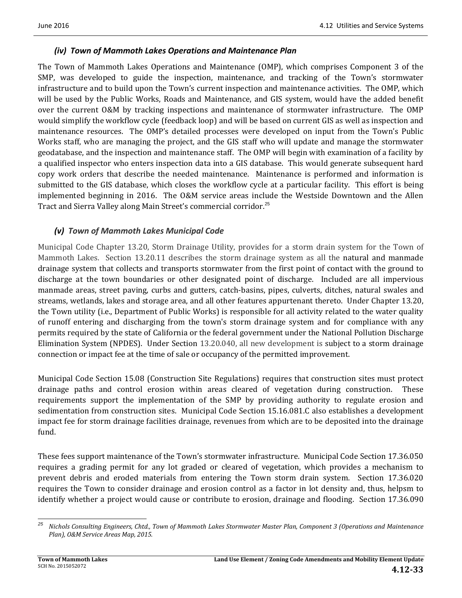### *(iv) Town of Mammoth Lakes Operations and Maintenance Plan*

The Town of Mammoth Lakes Operations and Maintenance (OMP), which comprises Component 3 of the SMP, was developed to guide the inspection, maintenance, and tracking of the Town's stormwater infrastructure and to build upon the Town's current inspection and maintenance activities. The OMP, which will be used by the Public Works, Roads and Maintenance, and GIS system, would have the added benefit over the current O&M by tracking inspections and maintenance of stormwater infrastructure. The OMP would simplify the workflow cycle (feedback loop) and will be based on current GIS as well as inspection and maintenance resources. The OMP's detailed processes were developed on input from the Town's Public Works staff, who are managing the project, and the GIS staff who will update and manage the stormwater geodatabase, and the inspection and maintenance staff. The OMP will begin with examination of a facility by a qualified inspector who enters inspection data into a GIS database. This would generate subsequent hard copy work orders that describe the needed maintenance. Maintenance is performed and information is submitted to the GIS database, which closes the workflow cycle at a particular facility. This effort is being implemented beginning in 2016. The O&M service areas include the Westside Downtown and the Allen Tract and Sierra Valley along Main Street's commercial corridor.<sup>25</sup>

#### *(v) Town of Mammoth Lakes Municipal Code*

Municipal Code Chapter 13.20, Storm Drainage Utility, provides for a storm drain system for the Town of Mammoth Lakes. Section 13.20.11 describes the storm drainage system as all the natural and manmade drainage system that collects and transports stormwater from the first point of contact with the ground to discharge at the town boundaries or other designated point of discharge. Included are all impervious manmade areas, street paving, curbs and gutters, catch-basins, pipes, culverts, ditches, natural swales and streams, wetlands, lakes and storage area, and all other features appurtenant thereto. Under Chapter 13.20, the Town utility (i.e., Department of Public Works) is responsible for all activity related to the water quality of runoff entering and discharging from the town's storm drainage system and for compliance with any permits required by the state of California or the federal government under the National Pollution Discharge Elimination System (NPDES). Under Section 13.20.040, all new development is subject to a storm drainage connection or impact fee at the time of sale or occupancy of the permitted improvement.

Municipal Code Section 15.08 (Construction Site Regulations) requires that construction sites must protect drainage paths and control erosion within areas cleared of vegetation during construction. These requirements support the implementation of the SMP by providing authority to regulate erosion and sedimentation from construction sites. Municipal Code Section 15.16.081.C also establishes a development impact fee for storm drainage facilities drainage, revenues from which are to be deposited into the drainage fund.

These fees support maintenance of the Town's stormwater infrastructure. Municipal Code Section 17.36.050 requires a grading permit for any lot graded or cleared of vegetation, which provides a mechanism to prevent debris and eroded materials from entering the Town storm drain system. Section 17.36.020 requires the Town to consider drainage and erosion control as a factor in lot density and, thus, helpsm to identify whether a project would cause or contribute to erosion, drainage and flooding. Section 17.36.090

 <sup>25</sup> Nichols Consulting Engineers, Chtd., Town of Mammoth Lakes Stormwater Master Plan, Component 3 (Operations and Maintenance *Plan), O&M Service Areas Map, 2015.*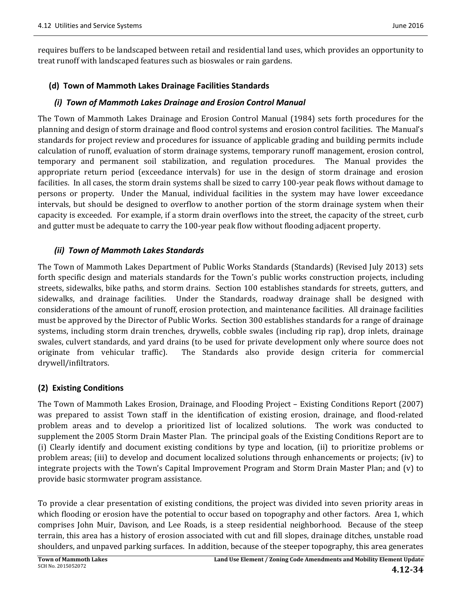requires buffers to be landscaped between retail and residential land uses, which provides an opportunity to treat runoff with landscaped features such as bioswales or rain gardens.

#### **(d) Town of Mammoth Lakes Drainage Facilities Standards**

#### *(i) Town of Mammoth Lakes Drainage and Erosion Control Manual*

The Town of Mammoth Lakes Drainage and Erosion Control Manual (1984) sets forth procedures for the planning and design of storm drainage and flood control systems and erosion control facilities. The Manual's standards for project review and procedures for issuance of applicable grading and building permits include calculation of runoff, evaluation of storm drainage systems, temporary runoff management, erosion control, temporary and permanent soil stabilization, and regulation procedures. The Manual provides the appropriate return period (exceedance intervals) for use in the design of storm drainage and erosion facilities. In all cases, the storm drain systems shall be sized to carry 100-year peak flows without damage to persons or property. Under the Manual, individual facilities in the system may have lower exceedance intervals, but should be designed to overflow to another portion of the storm drainage system when their capacity is exceeded. For example, if a storm drain overflows into the street, the capacity of the street, curb and gutter must be adequate to carry the 100-year peak flow without flooding adjacent property.

#### *(ii) Town of Mammoth Lakes Standards*

The Town of Mammoth Lakes Department of Public Works Standards (Standards) (Revised July 2013) sets forth specific design and materials standards for the Town's public works construction projects, including streets, sidewalks, bike paths, and storm drains. Section 100 establishes standards for streets, gutters, and sidewalks, and drainage facilities. Under the Standards, roadway drainage shall be designed with considerations of the amount of runoff, erosion protection, and maintenance facilities. All drainage facilities must be approved by the Director of Public Works. Section 300 establishes standards for a range of drainage systems, including storm drain trenches, drywells, cobble swales (including rip rap), drop inlets, drainage swales, culvert standards, and yard drains (to be used for private development only where source does not originate from vehicular traffic). The Standards also provide design criteria for commercial drywell/infiltrators. 

#### **(2) Existing Conditions**

The Town of Mammoth Lakes Erosion, Drainage, and Flooding Project – Existing Conditions Report (2007) was prepared to assist Town staff in the identification of existing erosion, drainage, and flood-related problem areas and to develop a prioritized list of localized solutions. The work was conducted to supplement the 2005 Storm Drain Master Plan. The principal goals of the Existing Conditions Report are to (i) Clearly identify and document existing conditions by type and location, (ii) to prioritize problems or problem areas; (iii) to develop and document localized solutions through enhancements or projects; (iv) to integrate projects with the Town's Capital Improvement Program and Storm Drain Master Plan; and  $(v)$  to provide basic stormwater program assistance.

To provide a clear presentation of existing conditions, the project was divided into seven priority areas in which flooding or erosion have the potential to occur based on topography and other factors. Area 1, which comprises John Muir, Davison, and Lee Roads, is a steep residential neighborhood. Because of the steep terrain, this area has a history of erosion associated with cut and fill slopes, drainage ditches, unstable road shoulders, and unpaved parking surfaces. In addition, because of the steeper topography, this area generates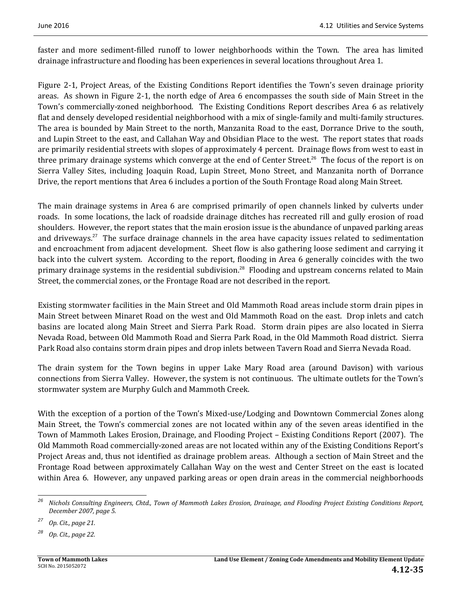faster and more sediment-filled runoff to lower neighborhoods within the Town. The area has limited drainage infrastructure and flooding has been experiences in several locations throughout Area 1.

Figure 2-1, Project Areas, of the Existing Conditions Report identifies the Town's seven drainage priority areas. As shown in Figure 2-1, the north edge of Area 6 encompasses the south side of Main Street in the Town's commercially-zoned neighborhood. The Existing Conditions Report describes Area 6 as relatively flat and densely developed residential neighborhood with a mix of single-family and multi-family structures. The area is bounded by Main Street to the north, Manzanita Road to the east, Dorrance Drive to the south, and Lupin Street to the east, and Callahan Way and Obsidian Place to the west. The report states that roads are primarily residential streets with slopes of approximately 4 percent. Drainage flows from west to east in three primary drainage systems which converge at the end of Center Street.<sup>26</sup> The focus of the report is on Sierra Valley Sites, including Joaquin Road, Lupin Street, Mono Street, and Manzanita north of Dorrance Drive, the report mentions that Area 6 includes a portion of the South Frontage Road along Main Street.

The main drainage systems in Area 6 are comprised primarily of open channels linked by culverts under roads. In some locations, the lack of roadside drainage ditches has recreated rill and gully erosion of road shoulders. However, the report states that the main erosion issue is the abundance of unpaved parking areas and driveways.<sup>27</sup> The surface drainage channels in the area have capacity issues related to sedimentation and encroachment from adjacent development. Sheet flow is also gathering loose sediment and carrying it back into the culvert system. According to the report, flooding in Area 6 generally coincides with the two primary drainage systems in the residential subdivision.<sup>28</sup> Flooding and upstream concerns related to Main Street, the commercial zones, or the Frontage Road are not described in the report.

Existing stormwater facilities in the Main Street and Old Mammoth Road areas include storm drain pipes in Main Street between Minaret Road on the west and Old Mammoth Road on the east. Drop inlets and catch basins are located along Main Street and Sierra Park Road. Storm drain pipes are also located in Sierra Nevada Road, between Old Mammoth Road and Sierra Park Road, in the Old Mammoth Road district. Sierra Park Road also contains storm drain pipes and drop inlets between Tavern Road and Sierra Nevada Road.

The drain system for the Town begins in upper Lake Mary Road area (around Davison) with various connections from Sierra Valley. However, the system is not continuous. The ultimate outlets for the Town's stormwater system are Murphy Gulch and Mammoth Creek.

With the exception of a portion of the Town's Mixed-use/Lodging and Downtown Commercial Zones along Main Street, the Town's commercial zones are not located within any of the seven areas identified in the Town of Mammoth Lakes Erosion, Drainage, and Flooding Project – Existing Conditions Report (2007). The Old Mammoth Road commercially-zoned areas are not located within any of the Existing Conditions Report's Project Areas and, thus not identified as drainage problem areas. Although a section of Main Street and the Frontage Road between approximately Callahan Way on the west and Center Street on the east is located within Area 6. However, any unpaved parking areas or open drain areas in the commercial neighborhoods

 

<sup>&</sup>lt;sup>26</sup> Nichols Consulting Engineers, Chtd., Town of Mammoth Lakes Erosion, Drainage, and Flooding Project Existing Conditions Report, *December 2007, page 5.* 

*<sup>27</sup> Op. Cit., page 21.* 

*<sup>28</sup> Op. Cit., page 22.*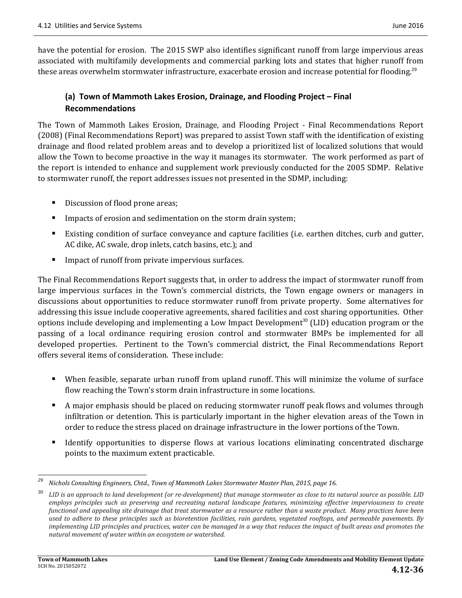have the potential for erosion. The 2015 SWP also identifies significant runoff from large impervious areas associated with multifamily developments and commercial parking lots and states that higher runoff from these areas overwhelm stormwater infrastructure, exacerbate erosion and increase potential for flooding.<sup>29</sup>

### **(a) Town of Mammoth Lakes Erosion, Drainage, and Flooding Project – Final Recommendations**

The Town of Mammoth Lakes Erosion, Drainage, and Flooding Project - Final Recommendations Report (2008) (Final Recommendations Report) was prepared to assist Town staff with the identification of existing drainage and flood related problem areas and to develop a prioritized list of localized solutions that would allow the Town to become proactive in the way it manages its stormwater. The work performed as part of the report is intended to enhance and supplement work previously conducted for the 2005 SDMP. Relative to stormwater runoff, the report addresses issues not presented in the SDMP, including:

- Discussion of flood prone areas;
- Impacts of erosion and sedimentation on the storm drain system;
- Existing condition of surface conveyance and capture facilities (i.e. earthen ditches, curb and gutter, AC dike, AC swale, drop inlets, catch basins, etc.); and
- **IMPACT OF THACK IMPACT FROM PROPERTY** Impervious surfaces.

The Final Recommendations Report suggests that, in order to address the impact of stormwater runoff from large impervious surfaces in the Town's commercial districts, the Town engage owners or managers in discussions about opportunities to reduce stormwater runoff from private property. Some alternatives for addressing this issue include cooperative agreements, shared facilities and cost sharing opportunities. Other options include developing and implementing a Low Impact Development<sup>30</sup> (LID) education program or the passing of a local ordinance requiring erosion control and stormwater BMPs be implemented for all developed properties. Pertinent to the Town's commercial district, the Final Recommendations Report offers several items of consideration. These include:

- When feasible, separate urban runoff from upland runoff. This will minimize the volume of surface flow reaching the Town's storm drain infrastructure in some locations.
- A major emphasis should be placed on reducing stormwater runoff peak flows and volumes through infiltration or detention. This is particularly important in the higher elevation areas of the Town in order to reduce the stress placed on drainage infrastructure in the lower portions of the Town.
- Identify opportunities to disperse flows at various locations eliminating concentrated discharge points to the maximum extent practicable.

 

*<sup>29</sup> Nichols Consulting Engineers, Chtd., Town of Mammoth Lakes Stormwater Master Plan, 2015, page 16.*

<sup>&</sup>lt;sup>30</sup> LID is an approach to land development (or re-development) that manage stormwater as close to its natural source as possible. LID employs principles such as preserving and recreating natural landscape features, minimizing effective imperviousness to create functional and appealing site drainage that treat stormwater as a resource rather than a waste product. Many practices have been used to adhere to these principles such as bioretention facilities, rain gardens, vegetated rooftops, and permeable pavements. By implementing LID principles and practices, water can be managed in a way that reduces the impact of built areas and promotes the *natural movement of water within an ecosystem or watershed.*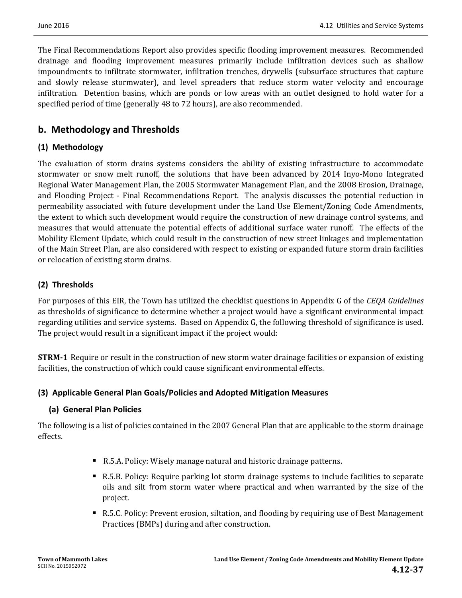The Final Recommendations Report also provides specific flooding improvement measures. Recommended drainage and flooding improvement measures primarily include infiltration devices such as shallow impoundments to infiltrate stormwater, infiltration trenches, drywells (subsurface structures that capture and slowly release stormwater), and level spreaders that reduce storm water velocity and encourage infiltration. Detention basins, which are ponds or low areas with an outlet designed to hold water for a specified period of time (generally 48 to 72 hours), are also recommended.

## **b. Methodology and Thresholds**

### **(1) Methodology**

The evaluation of storm drains systems considers the ability of existing infrastructure to accommodate stormwater or snow melt runoff, the solutions that have been advanced by 2014 Inyo-Mono Integrated Regional Water Management Plan, the 2005 Stormwater Management Plan, and the 2008 Erosion, Drainage, and Flooding Project - Final Recommendations Report. The analysis discusses the potential reduction in permeability associated with future development under the Land Use Element/Zoning Code Amendments, the extent to which such development would require the construction of new drainage control systems, and measures that would attenuate the potential effects of additional surface water runoff. The effects of the Mobility Element Update, which could result in the construction of new street linkages and implementation of the Main Street Plan, are also considered with respect to existing or expanded future storm drain facilities or relocation of existing storm drains.

## **(2) Thresholds**

For purposes of this EIR, the Town has utilized the checklist questions in Appendix G of the *CEQA Guidelines* as thresholds of significance to determine whether a project would have a significant environmental impact regarding utilities and service systems. Based on Appendix G, the following threshold of significance is used. The project would result in a significant impact if the project would:

**STRM-1** Require or result in the construction of new storm water drainage facilities or expansion of existing facilities, the construction of which could cause significant environmental effects.

### **(3) Applicable General Plan Goals/Policies and Adopted Mitigation Measures**

### **(a) General Plan Policies**

The following is a list of policies contained in the 2007 General Plan that are applicable to the storm drainage effects. 

- R.5.A. Policy: Wisely manage natural and historic drainage patterns.
- R.5.B. Policy: Require parking lot storm drainage systems to include facilities to separate oils and silt from storm water where practical and when warranted by the size of the project.
- R.5.C. Policy: Prevent erosion, siltation, and flooding by requiring use of Best Management Practices (BMPs) during and after construction.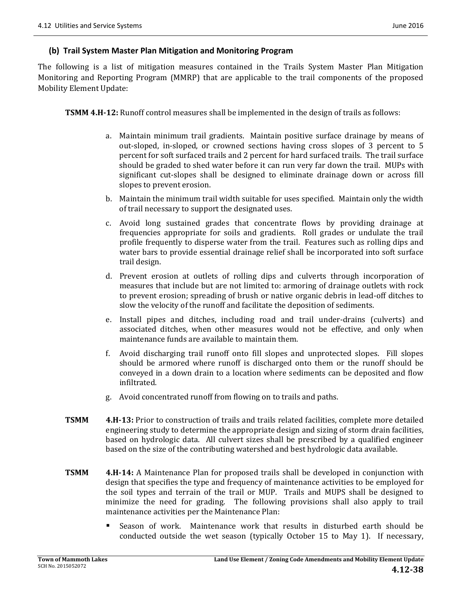#### **(b) Trail System Master Plan Mitigation and Monitoring Program**

The following is a list of mitigation measures contained in the Trails System Master Plan Mitigation Monitoring and Reporting Program (MMRP) that are applicable to the trail components of the proposed Mobility Element Update:

**TSMM 4.H-12:** Runoff control measures shall be implemented in the design of trails as follows:

- a. Maintain minimum trail gradients. Maintain positive surface drainage by means of out-sloped, in-sloped, or crowned sections having cross slopes of 3 percent to 5 percent for soft surfaced trails and 2 percent for hard surfaced trails. The trail surface should be graded to shed water before it can run very far down the trail. MUPs with significant cut-slopes shall be designed to eliminate drainage down or across fill slopes to prevent erosion.
- b. Maintain the minimum trail width suitable for uses specified. Maintain only the width of trail necessary to support the designated uses.
- c. Avoid long sustained grades that concentrate flows by providing drainage at frequencies appropriate for soils and gradients. Roll grades or undulate the trail profile frequently to disperse water from the trail. Features such as rolling dips and water bars to provide essential drainage relief shall be incorporated into soft surface trail design.
- d. Prevent erosion at outlets of rolling dips and culverts through incorporation of measures that include but are not limited to: armoring of drainage outlets with rock to prevent erosion; spreading of brush or native organic debris in lead-off ditches to slow the velocity of the runoff and facilitate the deposition of sediments.
- e. Install pipes and ditches, including road and trail under-drains (culverts) and associated ditches, when other measures would not be effective, and only when maintenance funds are available to maintain them.
- f. Avoid discharging trail runoff onto fill slopes and unprotected slopes. Fill slopes should be armored where runoff is discharged onto them or the runoff should be conveyed in a down drain to a location where sediments can be deposited and flow infiltrated.
- g. Avoid concentrated runoff from flowing on to trails and paths.
- **TSMM 4.H-13:** Prior to construction of trails and trails related facilities, complete more detailed engineering study to determine the appropriate design and sizing of storm drain facilities, based on hydrologic data. All culvert sizes shall be prescribed by a qualified engineer based on the size of the contributing watershed and best hydrologic data available.
- **TSMM 4.H-14:** A Maintenance Plan for proposed trails shall be developed in conjunction with design that specifies the type and frequency of maintenance activities to be employed for the soil types and terrain of the trail or MUP. Trails and MUPS shall be designed to minimize the need for grading. The following provisions shall also apply to trail maintenance activities per the Maintenance Plan:
	- $\blacksquare$  Season of work. Maintenance work that results in disturbed earth should be conducted outside the wet season (typically October 15 to May 1). If necessary,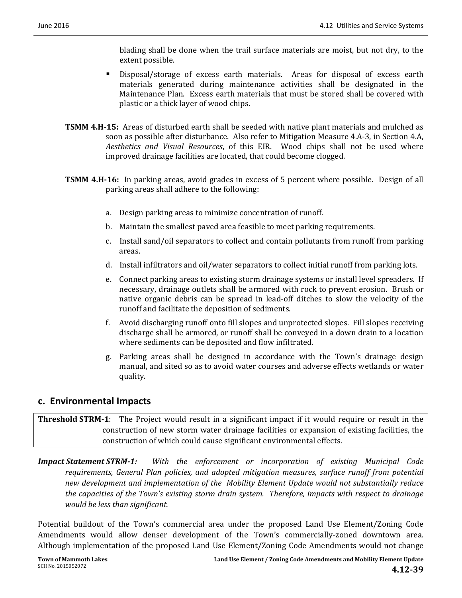blading shall be done when the trail surface materials are moist, but not dry, to the extent possible.

- Disposal/storage of excess earth materials. Areas for disposal of excess earth materials generated during maintenance activities shall be designated in the Maintenance Plan. Excess earth materials that must be stored shall be covered with plastic or a thick layer of wood chips.
- **TSMM 4.H-15:** Areas of disturbed earth shall be seeded with native plant materials and mulched as soon as possible after disturbance. Also refer to Mitigation Measure 4.A-3, in Section 4.A, *Aesthetics* and *Visual Resources*, of this EIR. Wood chips shall not be used where improved drainage facilities are located, that could become clogged.
- **TSMM 4.H-16:** In parking areas, avoid grades in excess of 5 percent where possible. Design of all parking areas shall adhere to the following:
	- a. Design parking areas to minimize concentration of runoff.
	- b. Maintain the smallest paved area feasible to meet parking requirements.
	- c. Install sand/oil separators to collect and contain pollutants from runoff from parking areas.
	- d. Install infiltrators and oil/water separators to collect initial runoff from parking lots.
	- e. Connect parking areas to existing storm drainage systems or install level spreaders. If necessary, drainage outlets shall be armored with rock to prevent erosion. Brush or native organic debris can be spread in lead-off ditches to slow the velocity of the runoff and facilitate the deposition of sediments.
	- f. Avoid discharging runoff onto fill slopes and unprotected slopes. Fill slopes receiving discharge shall be armored, or runoff shall be conveyed in a down drain to a location where sediments can be deposited and flow infiltrated.
	- g. Parking areas shall be designed in accordance with the Town's drainage design manual, and sited so as to avoid water courses and adverse effects wetlands or water quality.

### **c. Environmental Impacts**

### **Threshold STRM-1:** The Project would result in a significant impact if it would require or result in the construction of new storm water drainage facilities or expansion of existing facilities, the construction of which could cause significant environmental effects.

*Impact Statement STRM‐1: With the enforcement or incorporation of existing Municipal Code requirements, General Plan policies, and adopted mitigation measures, surface runoff from potential new development and implementation of the Mobility Element Update would not substantially reduce the capacities of the Town's existing storm drain system. Therefore, impacts with respect to drainage would be less than significant.*

Potential buildout of the Town's commercial area under the proposed Land Use Element/Zoning Code Amendments would allow denser development of the Town's commercially-zoned downtown area. Although implementation of the proposed Land Use Element/Zoning Code Amendments would not change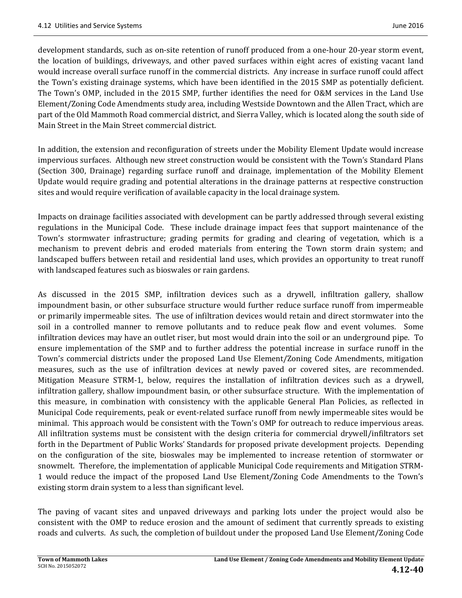development standards, such as on-site retention of runoff produced from a one-hour 20-year storm event, the location of buildings, driveways, and other paved surfaces within eight acres of existing vacant land would increase overall surface runoff in the commercial districts. Any increase in surface runoff could affect the Town's existing drainage systems, which have been identified in the 2015 SMP as potentially deficient. The Town's OMP, included in the 2015 SMP, further identifies the need for O&M services in the Land Use Element/Zoning Code Amendments study area, including Westside Downtown and the Allen Tract, which are part of the Old Mammoth Road commercial district, and Sierra Valley, which is located along the south side of Main Street in the Main Street commercial district.

In addition, the extension and reconfiguration of streets under the Mobility Element Update would increase impervious surfaces. Although new street construction would be consistent with the Town's Standard Plans (Section 300, Drainage) regarding surface runoff and drainage, implementation of the Mobility Element Update would require grading and potential alterations in the drainage patterns at respective construction sites and would require verification of available capacity in the local drainage system.

Impacts on drainage facilities associated with development can be partly addressed through several existing regulations in the Municipal Code. These include drainage impact fees that support maintenance of the Town's stormwater infrastructure; grading permits for grading and clearing of vegetation, which is a mechanism to prevent debris and eroded materials from entering the Town storm drain system; and landscaped buffers between retail and residential land uses, which provides an opportunity to treat runoff with landscaped features such as bioswales or rain gardens.

As discussed in the 2015 SMP, infiltration devices such as a drywell, infiltration gallery, shallow impoundment basin, or other subsurface structure would further reduce surface runoff from impermeable or primarily impermeable sites. The use of infiltration devices would retain and direct stormwater into the soil in a controlled manner to remove pollutants and to reduce peak flow and event volumes. Some infiltration devices may have an outlet riser, but most would drain into the soil or an underground pipe. To ensure implementation of the SMP and to further address the potential increase in surface runoff in the Town's commercial districts under the proposed Land Use Element/Zoning Code Amendments, mitigation measures, such as the use of infiltration devices at newly paved or covered sites, are recommended. Mitigation Measure STRM-1, below, requires the installation of infiltration devices such as a drywell, infiltration gallery, shallow impoundment basin, or other subsurface structure. With the implementation of this measure, in combination with consistency with the applicable General Plan Policies, as reflected in Municipal Code requirements, peak or event-related surface runoff from newly impermeable sites would be minimal. This approach would be consistent with the Town's OMP for outreach to reduce impervious areas. All infiltration systems must be consistent with the design criteria for commercial drywell/infiltrators set forth in the Department of Public Works' Standards for proposed private development projects. Depending on the configuration of the site, bioswales may be implemented to increase retention of stormwater or snowmelt. Therefore, the implementation of applicable Municipal Code requirements and Mitigation STRM-1 would reduce the impact of the proposed Land Use Element/Zoning Code Amendments to the Town's existing storm drain system to a less than significant level.

The paving of vacant sites and unpaved driveways and parking lots under the project would also be consistent with the OMP to reduce erosion and the amount of sediment that currently spreads to existing roads and culverts. As such, the completion of buildout under the proposed Land Use Element/Zoning Code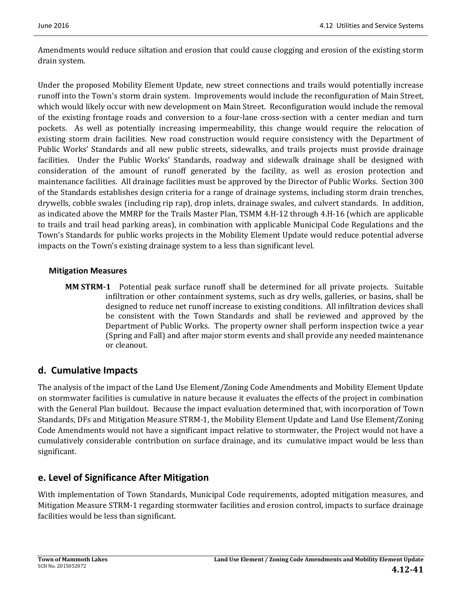Amendments would reduce siltation and erosion that could cause clogging and erosion of the existing storm drain system.

Under the proposed Mobility Element Update, new street connections and trails would potentially increase runoff into the Town's storm drain system. Improvements would include the reconfiguration of Main Street, which would likely occur with new development on Main Street. Reconfiguration would include the removal of the existing frontage roads and conversion to a four-lane cross-section with a center median and turn pockets. As well as potentially increasing impermeability, this change would require the relocation of existing storm drain facilities. New road construction would require consistency with the Department of Public Works' Standards and all new public streets, sidewalks, and trails projects must provide drainage facilities. Under the Public Works' Standards, roadway and sidewalk drainage shall be designed with consideration of the amount of runoff generated by the facility, as well as erosion protection and maintenance facilities. All drainage facilities must be approved by the Director of Public Works. Section 300 of the Standards establishes design criteria for a range of drainage systems, including storm drain trenches, drywells, cobble swales (including rip rap), drop inlets, drainage swales, and culvert standards. In addition, as indicated above the MMRP for the Trails Master Plan, TSMM 4.H-12 through 4.H-16 (which are applicable to trails and trail head parking areas), in combination with applicable Municipal Code Regulations and the Town's Standards for public works projects in the Mobility Element Update would reduce potential adverse impacts on the Town's existing drainage system to a less than significant level.

### **Mitigation Measures**

**MM STRM-1** Potential peak surface runoff shall be determined for all private projects. Suitable infiltration or other containment systems, such as dry wells, galleries, or basins, shall be designed to reduce net runoff increase to existing conditions. All infiltration devices shall be consistent with the Town Standards and shall be reviewed and approved by the Department of Public Works. The property owner shall perform inspection twice a year (Spring and Fall) and after major storm events and shall provide any needed maintenance or cleanout.

## **d. Cumulative Impacts**

The analysis of the impact of the Land Use Element/Zoning Code Amendments and Mobility Element Update on stormwater facilities is cumulative in nature because it evaluates the effects of the project in combination with the General Plan buildout. Because the impact evaluation determined that, with incorporation of Town Standards, DFs and Mitigation Measure STRM-1, the Mobility Element Update and Land Use Element/Zoning Code Amendments would not have a significant impact relative to stormwater, the Project would not have a cumulatively considerable contribution on surface drainage, and its cumulative impact would be less than significant. 

## **e. Level of Significance After Mitigation**

With implementation of Town Standards, Municipal Code requirements, adopted mitigation measures, and Mitigation Measure STRM-1 regarding stormwater facilities and erosion control, impacts to surface drainage facilities would be less than significant.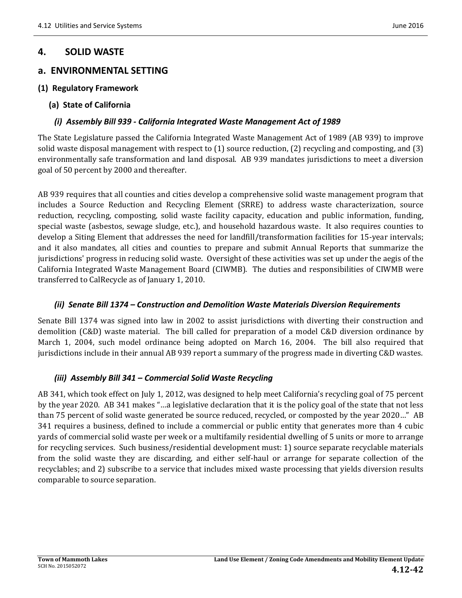## **4. SOLID WASTE**

### **a. ENVIRONMENTAL SETTING**

#### **(1) Regulatory Framework**

**(a) State of California**

#### *(i) Assembly Bill 939 ‐ California Integrated Waste Management Act of 1989*

The State Legislature passed the California Integrated Waste Management Act of 1989 (AB 939) to improve solid waste disposal management with respect to  $(1)$  source reduction,  $(2)$  recycling and composting, and  $(3)$ environmentally safe transformation and land disposal. AB 939 mandates jurisdictions to meet a diversion goal of 50 percent by 2000 and thereafter.

AB 939 requires that all counties and cities develop a comprehensive solid waste management program that includes a Source Reduction and Recycling Element (SRRE) to address waste characterization, source reduction, recycling, composting, solid waste facility capacity, education and public information, funding, special waste (asbestos, sewage sludge, etc.), and household hazardous waste. It also requires counties to develop a Siting Element that addresses the need for landfill/transformation facilities for 15-year intervals; and it also mandates, all cities and counties to prepare and submit Annual Reports that summarize the jurisdictions' progress in reducing solid waste. Oversight of these activities was set up under the aegis of the California Integrated Waste Management Board (CIWMB). The duties and responsibilities of CIWMB were transferred to CalRecycle as of January 1, 2010.

### *(ii) Senate Bill 1374 – Construction and Demolition Waste Materials Diversion Requirements*

Senate Bill 1374 was signed into law in 2002 to assist jurisdictions with diverting their construction and demolition  $(C&D)$  waste material. The bill called for preparation of a model  $C&D$  diversion ordinance by March 1, 2004, such model ordinance being adopted on March 16, 2004. The bill also required that jurisdictions include in their annual AB 939 report a summary of the progress made in diverting C&D wastes.

### *(iii) Assembly Bill 341 – Commercial Solid Waste Recycling*

AB 341, which took effect on July 1, 2012, was designed to help meet California's recycling goal of 75 percent by the year 2020. AB 341 makes "...a legislative declaration that it is the policy goal of the state that not less than 75 percent of solid waste generated be source reduced, recycled, or composted by the year 2020..." AB 341 requires a business, defined to include a commercial or public entity that generates more than 4 cubic yards of commercial solid waste per week or a multifamily residential dwelling of 5 units or more to arrange for recycling services. Such business/residential development must: 1) source separate recyclable materials from the solid waste they are discarding, and either self-haul or arrange for separate collection of the recyclables; and 2) subscribe to a service that includes mixed waste processing that yields diversion results comparable to source separation.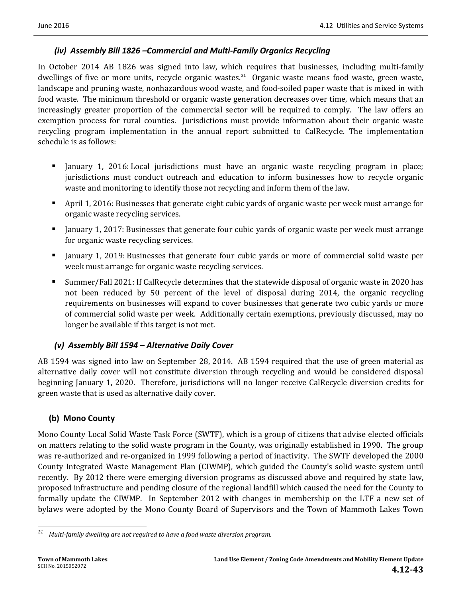#### *(iv) Assembly Bill 1826 –Commercial and Multi‐Family Organics Recycling*

In October 2014 AB 1826 was signed into law, which requires that businesses, including multi-family dwellings of five or more units, recycle organic wastes.<sup>31</sup> Organic waste means food waste, green waste, landscape and pruning waste, nonhazardous wood waste, and food-soiled paper waste that is mixed in with food waste. The minimum threshold or organic waste generation decreases over time, which means that an increasingly greater proportion of the commercial sector will be required to comply. The law offers an exemption process for rural counties. Jurisdictions must provide information about their organic waste recycling program implementation in the annual report submitted to CalRecycle. The implementation schedule is as follows:

- Ignuary 1, 2016: Local jurisdictions must have an organic waste recycling program in place; jurisdictions must conduct outreach and education to inform businesses how to recycle organic waste and monitoring to identify those not recycling and inform them of the law.
- April 1, 2016: Businesses that generate eight cubic yards of organic waste per week must arrange for organic waste recycling services.
- January 1, 2017: Businesses that generate four cubic yards of organic waste per week must arrange for organic waste recycling services.
- January 1, 2019: Businesses that generate four cubic yards or more of commercial solid waste per week must arrange for organic waste recycling services.
- Summer/Fall 2021: If CalRecycle determines that the statewide disposal of organic waste in 2020 has not been reduced by 50 percent of the level of disposal during  $2014$ , the organic recycling requirements on businesses will expand to cover businesses that generate two cubic yards or more of commercial solid waste per week. Additionally certain exemptions, previously discussed, may no longer be available if this target is not met.

### *(v) Assembly Bill 1594 – Alternative Daily Cover*

AB 1594 was signed into law on September 28, 2014. AB 1594 required that the use of green material as alternative daily cover will not constitute diversion through recycling and would be considered disposal beginning January 1, 2020. Therefore, jurisdictions will no longer receive CalRecycle diversion credits for green waste that is used as alternative daily cover.

### **(b) Mono County**

Mono County Local Solid Waste Task Force (SWTF), which is a group of citizens that advise elected officials on matters relating to the solid waste program in the County, was originally established in 1990. The group was re-authorized and re-organized in 1999 following a period of inactivity. The SWTF developed the 2000 County Integrated Waste Management Plan (CIWMP), which guided the County's solid waste system until recently. By 2012 there were emerging diversion programs as discussed above and required by state law, proposed infrastructure and pending closure of the regional landfill which caused the need for the County to formally update the CIWMP. In September 2012 with changes in membership on the LTF a new set of bylaws were adopted by the Mono County Board of Supervisors and the Town of Mammoth Lakes Town

 *<sup>31</sup> Multi‐family dwelling are not required to have a food waste diversion program.*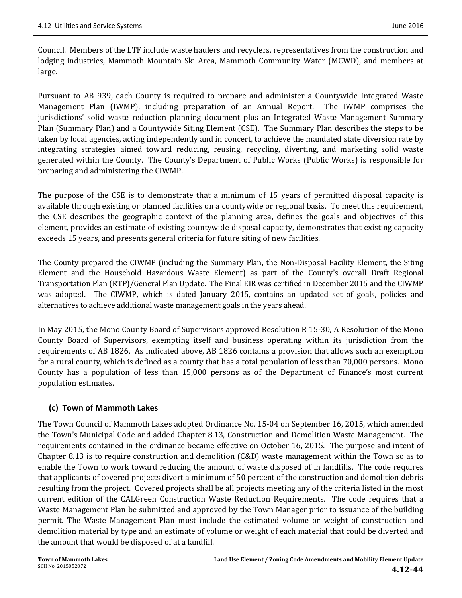Council. Members of the LTF include waste haulers and recyclers, representatives from the construction and lodging industries, Mammoth Mountain Ski Area, Mammoth Community Water (MCWD), and members at large. 

Pursuant to AB 939, each County is required to prepare and administer a Countywide Integrated Waste Management Plan (IWMP), including preparation of an Annual Report. The IWMP comprises the jurisdictions' solid waste reduction planning document plus an Integrated Waste Management Summary Plan (Summary Plan) and a Countywide Siting Element (CSE). The Summary Plan describes the steps to be taken by local agencies, acting independently and in concert, to achieve the mandated state diversion rate by integrating strategies aimed toward reducing, reusing, recycling, diverting, and marketing solid waste generated within the County. The County's Department of Public Works (Public Works) is responsible for preparing and administering the CIWMP.

The purpose of the CSE is to demonstrate that a minimum of 15 years of permitted disposal capacity is available through existing or planned facilities on a countywide or regional basis. To meet this requirement, the CSE describes the geographic context of the planning area, defines the goals and objectives of this element, provides an estimate of existing countywide disposal capacity, demonstrates that existing capacity exceeds 15 years, and presents general criteria for future siting of new facilities.

The County prepared the CIWMP (including the Summary Plan, the Non-Disposal Facility Element, the Siting Element and the Household Hazardous Waste Element) as part of the County's overall Draft Regional Transportation Plan (RTP)/General Plan Update. The Final EIR was certified in December 2015 and the CIWMP was adopted. The CIWMP, which is dated January 2015, contains an updated set of goals, policies and alternatives to achieve additional waste management goals in the years ahead.

In May 2015, the Mono County Board of Supervisors approved Resolution R 15-30, A Resolution of the Mono County Board of Supervisors, exempting itself and business operating within its jurisdiction from the requirements of AB 1826. As indicated above, AB 1826 contains a provision that allows such an exemption for a rural county, which is defined as a county that has a total population of less than 70,000 persons. Mono County has a population of less than 15,000 persons as of the Department of Finance's most current population estimates. 

## **(c) Town of Mammoth Lakes**

The Town Council of Mammoth Lakes adopted Ordinance No. 15-04 on September 16, 2015, which amended the Town's Municipal Code and added Chapter 8.13, Construction and Demolition Waste Management. The requirements contained in the ordinance became effective on October 16, 2015. The purpose and intent of Chapter 8.13 is to require construction and demolition  $(C&D)$  waste management within the Town so as to enable the Town to work toward reducing the amount of waste disposed of in landfills. The code requires that applicants of covered projects divert a minimum of 50 percent of the construction and demolition debris resulting from the project. Covered projects shall be all projects meeting any of the criteria listed in the most current edition of the CALGreen Construction Waste Reduction Requirements. The code requires that a Waste Management Plan be submitted and approved by the Town Manager prior to issuance of the building permit. The Waste Management Plan must include the estimated volume or weight of construction and demolition material by type and an estimate of volume or weight of each material that could be diverted and the amount that would be disposed of at a landfill.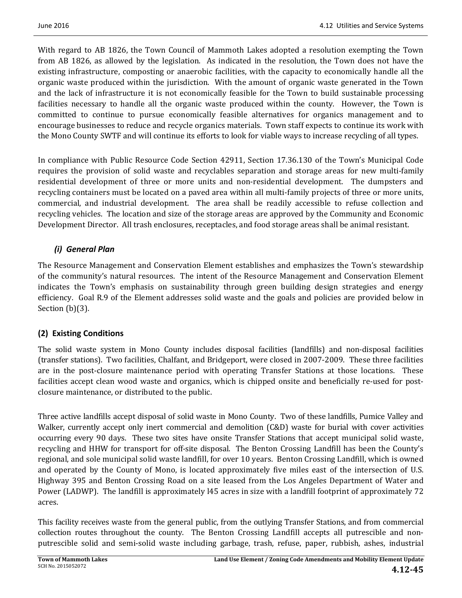With regard to AB 1826, the Town Council of Mammoth Lakes adopted a resolution exempting the Town from AB 1826, as allowed by the legislation. As indicated in the resolution, the Town does not have the existing infrastructure, composting or anaerobic facilities, with the capacity to economically handle all the organic waste produced within the jurisdiction. With the amount of organic waste generated in the Town and the lack of infrastructure it is not economically feasible for the Town to build sustainable processing facilities necessary to handle all the organic waste produced within the county. However, the Town is committed to continue to pursue economically feasible alternatives for organics management and to encourage businesses to reduce and recycle organics materials. Town staff expects to continue its work with the Mono County SWTF and will continue its efforts to look for viable ways to increase recycling of all types.

In compliance with Public Resource Code Section 42911, Section 17.36.130 of the Town's Municipal Code requires the provision of solid waste and recyclables separation and storage areas for new multi-family residential development of three or more units and non-residential development. The dumpsters and recycling containers must be located on a paved area within all multi-family projects of three or more units, commercial, and industrial development. The area shall be readily accessible to refuse collection and recycling vehicles. The location and size of the storage areas are approved by the Community and Economic Development Director. All trash enclosures, receptacles, and food storage areas shall be animal resistant.

## *(i) General Plan*

The Resource Management and Conservation Element establishes and emphasizes the Town's stewardship of the community's natural resources. The intent of the Resource Management and Conservation Element indicates the Town's emphasis on sustainability through green building design strategies and energy efficiency. Goal R.9 of the Element addresses solid waste and the goals and policies are provided below in Section  $(b)(3)$ .

## **(2) Existing Conditions**

The solid waste system in Mono County includes disposal facilities (landfills) and non-disposal facilities (transfer stations). Two facilities, Chalfant, and Bridgeport, were closed in 2007-2009. These three facilities are in the post-closure maintenance period with operating Transfer Stations at those locations. These facilities accept clean wood waste and organics, which is chipped onsite and beneficially re-used for postclosure maintenance, or distributed to the public.

Three active landfills accept disposal of solid waste in Mono County. Two of these landfills, Pumice Valley and Walker, currently accept only inert commercial and demolition (C&D) waste for burial with cover activities occurring every 90 days. These two sites have onsite Transfer Stations that accept municipal solid waste, recycling and HHW for transport for off-site disposal. The Benton Crossing Landfill has been the County's regional, and sole municipal solid waste landfill, for over 10 years. Benton Crossing Landfill, which is owned and operated by the County of Mono, is located approximately five miles east of the intersection of U.S. Highway 395 and Benton Crossing Road on a site leased from the Los Angeles Department of Water and Power (LADWP). The landfill is approximately 145 acres in size with a landfill footprint of approximately 72 acres. 

This facility receives waste from the general public, from the outlying Transfer Stations, and from commercial collection routes throughout the county. The Benton Crossing Landfill accepts all putrescible and nonputrescible solid and semi-solid waste including garbage, trash, refuse, paper, rubbish, ashes, industrial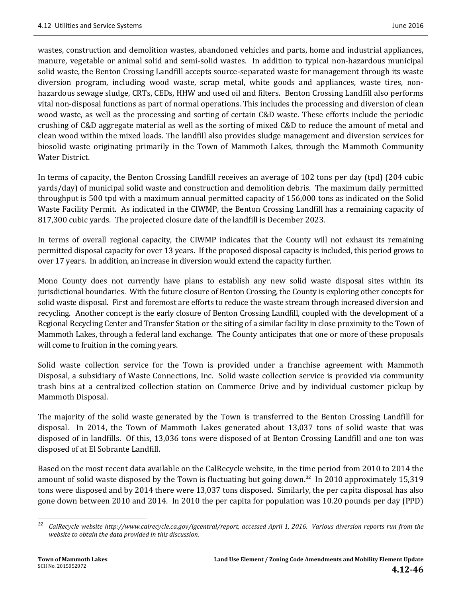wastes, construction and demolition wastes, abandoned vehicles and parts, home and industrial appliances, manure, vegetable or animal solid and semi-solid wastes. In addition to typical non-hazardous municipal solid waste, the Benton Crossing Landfill accepts source-separated waste for management through its waste diversion program, including wood waste, scrap metal, white goods and appliances, waste tires, nonhazardous sewage sludge, CRTs, CEDs, HHW and used oil and filters. Benton Crossing Landfill also performs vital non-disposal functions as part of normal operations. This includes the processing and diversion of clean wood waste, as well as the processing and sorting of certain C&D waste. These efforts include the periodic crushing of C&D aggregate material as well as the sorting of mixed C&D to reduce the amount of metal and clean wood within the mixed loads. The landfill also provides sludge management and diversion services for biosolid waste originating primarily in the Town of Mammoth Lakes, through the Mammoth Community Water District.

In terms of capacity, the Benton Crossing Landfill receives an average of 102 tons per day (tpd) (204 cubic yards/day) of municipal solid waste and construction and demolition debris. The maximum daily permitted throughput is 500 tpd with a maximum annual permitted capacity of 156,000 tons as indicated on the Solid Waste Facility Permit. As indicated in the CIWMP, the Benton Crossing Landfill has a remaining capacity of 817,300 cubic yards. The projected closure date of the landfill is December 2023.

In terms of overall regional capacity, the CIWMP indicates that the County will not exhaust its remaining permitted disposal capacity for over 13 years. If the proposed disposal capacity is included, this period grows to over 17 years. In addition, an increase in diversion would extend the capacity further.

Mono County does not currently have plans to establish any new solid waste disposal sites within its jurisdictional boundaries. With the future closure of Benton Crossing, the County is exploring other concepts for solid waste disposal. First and foremost are efforts to reduce the waste stream through increased diversion and recycling. Another concept is the early closure of Benton Crossing Landfill, coupled with the development of a Regional Recycling Center and Transfer Station or the siting of a similar facility in close proximity to the Town of Mammoth Lakes, through a federal land exchange. The County anticipates that one or more of these proposals will come to fruition in the coming years.

Solid waste collection service for the Town is provided under a franchise agreement with Mammoth Disposal, a subsidiary of Waste Connections, Inc. Solid waste collection service is provided via community trash bins at a centralized collection station on Commerce Drive and by individual customer pickup by Mammoth Disposal.

The majority of the solid waste generated by the Town is transferred to the Benton Crossing Landfill for disposal. In 2014, the Town of Mammoth Lakes generated about 13,037 tons of solid waste that was disposed of in landfills. Of this, 13,036 tons were disposed of at Benton Crossing Landfill and one ton was disposed of at El Sobrante Landfill.

Based on the most recent data available on the CalRecycle website, in the time period from 2010 to 2014 the amount of solid waste disposed by the Town is fluctuating but going down.<sup>32</sup> In 2010 approximately 15,319 tons were disposed and by 2014 there were 13,037 tons disposed. Similarly, the per capita disposal has also gone down between 2010 and 2014. In 2010 the per capita for population was 10.20 pounds per day (PPD)

 CalRecycle website http://www.calrecycle.ca.gov/lgcentral/report, accessed April 1, 2016. Various diversion reports run from the *website to obtain the data provided in this discussion.*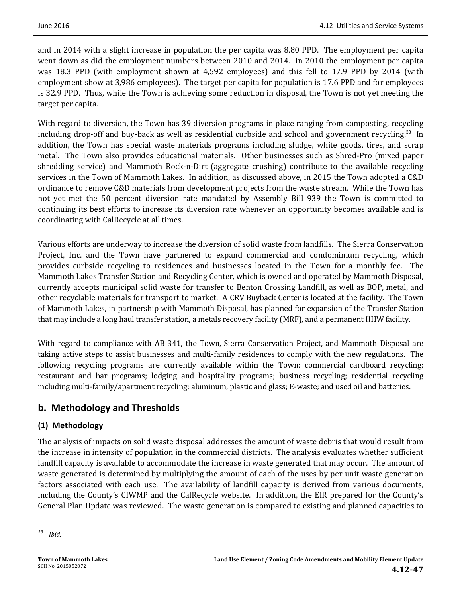and in 2014 with a slight increase in population the per capita was 8.80 PPD. The employment per capita went down as did the employment numbers between 2010 and 2014. In 2010 the employment per capita was 18.3 PPD (with employment shown at 4,592 employees) and this fell to 17.9 PPD by 2014 (with employment show at 3,986 employees). The target per capita for population is 17.6 PPD and for employees is 32.9 PPD. Thus, while the Town is achieving some reduction in disposal, the Town is not yet meeting the target per capita.

With regard to diversion, the Town has 39 diversion programs in place ranging from composting, recycling including drop-off and buy-back as well as residential curbside and school and government recycling.<sup>33</sup> In addition, the Town has special waste materials programs including sludge, white goods, tires, and scrap metal. The Town also provides educational materials. Other businesses such as Shred-Pro (mixed paper shredding service) and Mammoth Rock-n-Dirt (aggregate crushing) contribute to the available recycling services in the Town of Mammoth Lakes. In addition, as discussed above, in 2015 the Town adopted a C&D ordinance to remove C&D materials from development projects from the waste stream. While the Town has not yet met the 50 percent diversion rate mandated by Assembly Bill 939 the Town is committed to continuing its best efforts to increase its diversion rate whenever an opportunity becomes available and is coordinating with CalRecycle at all times.

Various efforts are underway to increase the diversion of solid waste from landfills. The Sierra Conservation Project, Inc. and the Town have partnered to expand commercial and condominium recycling, which provides curbside recycling to residences and businesses located in the Town for a monthly fee. The Mammoth Lakes Transfer Station and Recycling Center, which is owned and operated by Mammoth Disposal, currently accepts municipal solid waste for transfer to Benton Crossing Landfill, as well as BOP, metal, and other recyclable materials for transport to market. A CRV Buyback Center is located at the facility. The Town of Mammoth Lakes, in partnership with Mammoth Disposal, has planned for expansion of the Transfer Station that may include a long haul transfer station, a metals recovery facility (MRF), and a permanent HHW facility.

With regard to compliance with AB 341, the Town, Sierra Conservation Project, and Mammoth Disposal are taking active steps to assist businesses and multi-family residences to comply with the new regulations. The following recycling programs are currently available within the Town: commercial cardboard recycling; restaurant and bar programs; lodging and hospitality programs; business recycling; residential recycling including multi-family/apartment recycling; aluminum, plastic and glass; E-waste; and used oil and batteries.

## **b. Methodology and Thresholds**

## **(1) Methodology**

The analysis of impacts on solid waste disposal addresses the amount of waste debris that would result from the increase in intensity of population in the commercial districts. The analysis evaluates whether sufficient landfill capacity is available to accommodate the increase in waste generated that may occur. The amount of waste generated is determined by multiplying the amount of each of the uses by per unit waste generation factors associated with each use. The availability of landfill capacity is derived from various documents, including the County's CIWMP and the CalRecycle website. In addition, the EIR prepared for the County's General Plan Update was reviewed. The waste generation is compared to existing and planned capacities to

 *<sup>33</sup> Ibid.*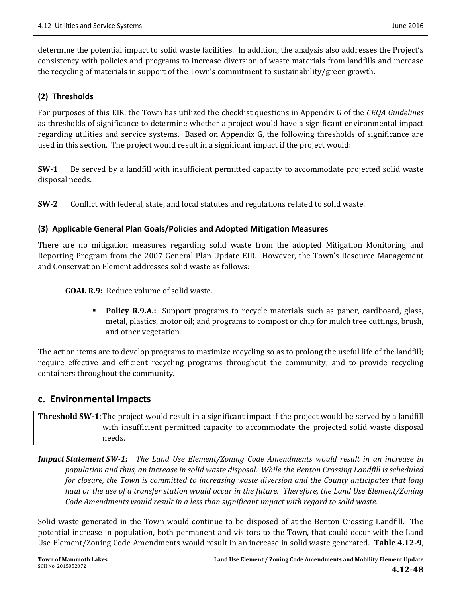determine the potential impact to solid waste facilities. In addition, the analysis also addresses the Project's consistency with policies and programs to increase diversion of waste materials from landfills and increase the recycling of materials in support of the Town's commitment to sustainability/green growth.

#### **(2) Thresholds**

For purposes of this EIR, the Town has utilized the checklist questions in Appendix G of the *CEQA Guidelines* as thresholds of significance to determine whether a project would have a significant environmental impact regarding utilities and service systems. Based on Appendix G, the following thresholds of significance are used in this section. The project would result in a significant impact if the project would:

**SW-1** Be served by a landfill with insufficient permitted capacity to accommodate projected solid waste disposal needs.

**SW**<sup>-2</sup> Conflict with federal, state, and local statutes and regulations related to solid waste.

#### **(3) Applicable General Plan Goals/Policies and Adopted Mitigation Measures**

There are no mitigation measures regarding solid waste from the adopted Mitigation Monitoring and Reporting Program from the 2007 General Plan Update EIR. However, the Town's Resource Management and Conservation Element addresses solid waste as follows:

**GOAL R.9:** Reduce volume of solid waste.

**Policy R.9.A.:** Support programs to recycle materials such as paper, cardboard, glass, metal, plastics, motor oil; and programs to compost or chip for mulch tree cuttings, brush, and other vegetation.

The action items are to develop programs to maximize recycling so as to prolong the useful life of the landfill; require effective and efficient recycling programs throughout the community; and to provide recycling containers throughout the community.

### **c. Environmental Impacts**

**Threshold SW<sup>-1</sup>**: The project would result in a significant impact if the project would be served by a landfill with insufficient permitted capacity to accommodate the projected solid waste disposal needs. 

*Impact Statement SW‐1: The Land Use Element/Zoning Code Amendments would result in an increase in* population and thus, an increase in solid waste disposal. While the Benton Crossing Landfill is scheduled *for closure, the Town is committed to increasing waste diversion and the County anticipates that long* haul or the use of a transfer station would occur in the future. Therefore, the Land Use Element/Zoning *Code Amendments would result in a less than significant impact with regard to solid waste.* 

Solid waste generated in the Town would continue to be disposed of at the Benton Crossing Landfill. The potential increase in population, both permanent and visitors to the Town, that could occur with the Land Use Element/Zoning Code Amendments would result in an increase in solid waste generated. **Table 4.12-9**,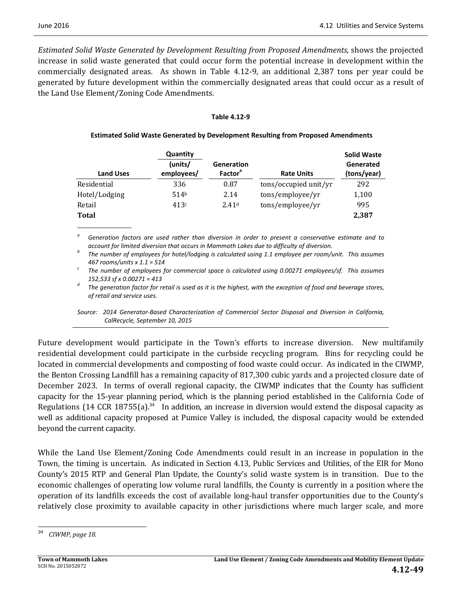*Estimated Solid Waste Generated by Development Resulting from Proposed Amendments*, shows the projected increase in solid waste generated that could occur form the potential increase in development within the commercially designated areas. As shown in Table  $4.12-9$ , an additional  $2.387$  tons per year could be generated by future development within the commercially designated areas that could occur as a result of the Land Use Element/Zoning Code Amendments.

#### **Table 4.12‐9**

| <b>Land Uses</b> | Quantity<br>(units/<br>employees/ | <b>Generation</b><br><b>Factor</b> <sup>ª</sup> | <b>Rate Units</b>     | <b>Solid Waste</b><br>Generated<br>(tons/year) |
|------------------|-----------------------------------|-------------------------------------------------|-----------------------|------------------------------------------------|
| Residential      | 336                               | 0.87                                            | tons/occupied unit/yr | 292                                            |
| Hotel/Lodging    | 514 <sup>b</sup>                  | 2.14                                            | tons/employee/yr      | 1,100                                          |
| Retail           | 413c                              | 2.41 <sup>d</sup>                               | tons/employee/yr      | 995                                            |
| <b>Total</b>     |                                   |                                                 |                       | 2,387                                          |

#### **Estimated Solid Waste Generated by Development Resulting from Proposed Amendments**

Generation factors are used rather than diversion in order to present a conservative estimate and to account for limited diversion that occurs in Mammoth Lakes due to difficulty of diversion.<br>The number of employees for hotel/lodging is calculated using 1.1 employee per room/unit. This assumes

467 rooms/units x 1.1 = 514<br>The number of employees for commercial space is calculated using 0.00271 employees/sf. This assumes

152,533 sf x 0.00271 = 413<br>The generation factor for retail is used as it is the highest, with the exception of food and beverage stores, *of retail and service uses.* 

*Source: 2014 Generator‐Based Characterization of Commercial Sector Disposal and Diversion in California, CalRecycle, September 10, 2015*

Future development would participate in the Town's efforts to increase diversion. New multifamily residential development could participate in the curbside recycling program. Bins for recycling could be located in commercial developments and composting of food waste could occur. As indicated in the CIWMP, the Benton Crossing Landfill has a remaining capacity of 817,300 cubic yards and a projected closure date of December 2023. In terms of overall regional capacity, the CIWMP indicates that the County has sufficient capacity for the 15-year planning period, which is the planning period established in the California Code of Regulations (14 CCR 18755(a).<sup>34</sup> In addition, an increase in diversion would extend the disposal capacity as well as additional capacity proposed at Pumice Valley is included, the disposal capacity would be extended beyond the current capacity.

While the Land Use Element/Zoning Code Amendments could result in an increase in population in the Town, the timing is uncertain. As indicated in Section 4.13, Public Services and Utilities, of the EIR for Mono County's 2015 RTP and General Plan Update, the County's solid waste system is in transition. Due to the economic challenges of operating low volume rural landfills, the County is currently in a position where the operation of its landfills exceeds the cost of available long-haul transfer opportunities due to the County's relatively close proximity to available capacity in other jurisdictions where much larger scale, and more

 *<sup>34</sup> CIWMP, page 18.*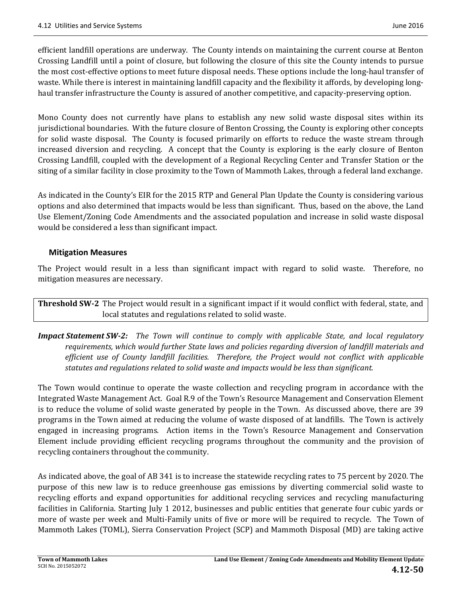efficient landfill operations are underway. The County intends on maintaining the current course at Benton Crossing Landfill until a point of closure, but following the closure of this site the County intends to pursue the most cost-effective options to meet future disposal needs. These options include the long-haul transfer of waste. While there is interest in maintaining landfill capacity and the flexibility it affords, by developing longhaul transfer infrastructure the County is assured of another competitive, and capacity-preserving option.

Mono County does not currently have plans to establish any new solid waste disposal sites within its jurisdictional boundaries. With the future closure of Benton Crossing, the County is exploring other concepts for solid waste disposal. The County is focused primarily on efforts to reduce the waste stream through increased diversion and recycling. A concept that the County is exploring is the early closure of Benton Crossing Landfill, coupled with the development of a Regional Recycling Center and Transfer Station or the siting of a similar facility in close proximity to the Town of Mammoth Lakes, through a federal land exchange.

As indicated in the County's EIR for the 2015 RTP and General Plan Update the County is considering various options and also determined that impacts would be less than significant. Thus, based on the above, the Land Use Element/Zoning Code Amendments and the associated population and increase in solid waste disposal would be considered a less than significant impact.

### **Mitigation Measures**

The Project would result in a less than significant impact with regard to solid waste. Therefore, no mitigation measures are necessary.

**Threshold SW<sub></sub>**-2 The Project would result in a significant impact if it would conflict with federal, state, and local statutes and regulations related to solid waste.

*Impact Statement SW‐2: The Town will continue to comply with applicable State, and local regulatory requirements, which would further State laws and policies regarding diversion of landfill materials and efficient use of County landfill facilities. Therefore, the Project would not conflict with applicable statutes and regulations related to solid waste and impacts would be less than significant.*

The Town would continue to operate the waste collection and recycling program in accordance with the Integrated Waste Management Act. Goal R.9 of the Town's Resource Management and Conservation Element is to reduce the volume of solid waste generated by people in the Town. As discussed above, there are 39 programs in the Town aimed at reducing the volume of waste disposed of at landfills. The Town is actively engaged in increasing programs. Action items in the Town's Resource Management and Conservation Element include providing efficient recycling programs throughout the community and the provision of recycling containers throughout the community.

As indicated above, the goal of AB 341 is to increase the statewide recycling rates to 75 percent by 2020. The purpose of this new law is to reduce greenhouse gas emissions by diverting commercial solid waste to recycling efforts and expand opportunities for additional recycling services and recycling manufacturing facilities in California. Starting July 1 2012, businesses and public entities that generate four cubic yards or more of waste per week and Multi-Family units of five or more will be required to recycle. The Town of Mammoth Lakes (TOML), Sierra Conservation Project (SCP) and Mammoth Disposal (MD) are taking active